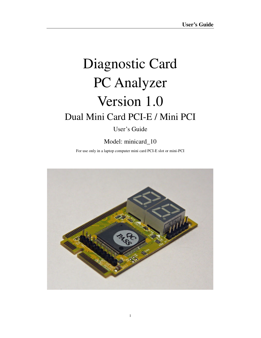# Diagnostic Card PC Analyzer Version 1.0 Dual Mini Card PCI-E / Mini PCI

User's Guide

Model: minicard\_10

For use only in a laptop computer mini card PCI-E slot or mini-PCI

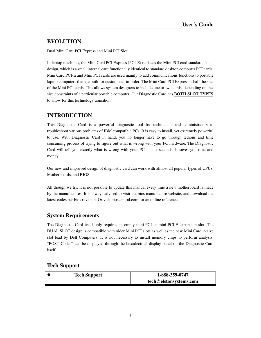# **EVOLUTION**

Dual Mini Card PCI Express and Mini PCI Slot

In laptop machines, the Mini Card PCI Express (PCI-E) replaces the Mini PCI card standard slot design, which is a small internal card functionally identical to standard desktop computer PCI cards. Mini Card PCI-E and Mini PCI cards are used mainly to add communications functions to portable laptop computers that are built- or customized-to-order. The Mini Card PCI Express is half the size of the Mini PCI cards. This allows system designers to include one or two cards, depending on the size constraints of a particular portable computer. Our Diagnostic Card has **BOTH SLOT TYPES** to allow for this technology transition.

# **INTRODUCTION**

This Diagnostic Card is a powerful diagnostic tool for technicians and administrators to troubleshoot various problems of IBM compatible PCs. It is easy to install, yet extremely powerful to use. With Diagnostic Card in hand, you no longer have to go through tedious and time consuming process of trying to figure out what is wrong with your PC hardware. The Diagnostic Card will tell you exactly what is wrong with your PC in just seconds. It saves you time and money.

Our new and improved design of diagnostic card can work with almost all popular types of CPUs, Motherboards, and BIOS.

All though we try, it is not possible to update this manual every time a new motherboard is made by the manufactures. It is always advised to visit the bios manufacture website, and download the latest codes per bios revision. Or visit bioscentral.com for an online reference.

## **System Requirements**

The Diagnostic Card itself only requires an empty mini-PCI or mini-PCI-E expansion slot. The DUAL SLOT design is compatible with older Mini PCI slots as well as the new Mini Card  $\frac{1}{2}$  size slot lead by Dell Computers. It is not necessary to install memory chips to perform analysis. "POST Codes" can be displayed through the hexadecimal display panel on the Diagnostic Card itself.

## **Tech Support**

| tech@elstonsystems.com |  |
|------------------------|--|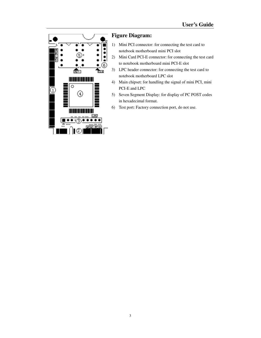

# **Figure Diagram:**

- 1) Mini PCI connector: for connecting the test card to notebook motherboard mini PCI slot
- 2) Mini Card PCI-E connector: for connecting the test card to notebook motherboard mini PCI-E slot
- 3) LPC header connector: for connecting the test card to notebook motherboard LPC slot
- 4) Main chipset: for handling the signal of mini PCI, mini PCI-E and LPC
- 5) Seven Segment Display: for display of PC POST codes in hexadecimal format.
- 6) Test port: Factory connection port, do not use.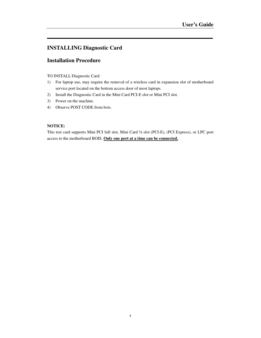# **INSTALLING Diagnostic Card**

## **Installation Procedure**

#### TO INSTALL Diagnostic Card:

- 1) For laptop use, may require the removal of a wireless card in expansion slot of motherboard service port located on the bottom access door of most laptops.
- 2) Install the Diagnostic Card in the Mini Card PCI-E slot or Mini PCI slot.
- 3) Power on the machine.
- 4) Observe POST CODE from bois.

#### **NOTICE:**

This test card supports Mini PCI full slot, Mini Card ½ slot (PCI-E), (PCI Express), or LPC port access to the motherboard BOIS. **Only one port at a time can be connected.**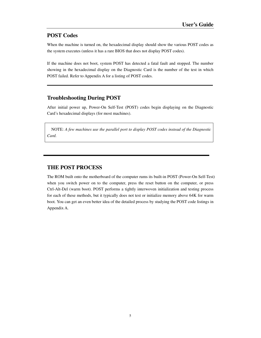## **POST Codes**

When the machine is turned on, the hexadecimal display should show the various POST codes as the system executes (unless it has a rare BIOS that does not display POST codes).

If the machine does not boot, system POST has detected a fatal fault and stopped. The number showing in the hexadecimal display on the Diagnostic Card is the number of the test in which POST failed. Refer to Appendix A for a listing of POST codes.

## **Troubleshooting During POST**

After initial power up, Power-On Self-Test (POST) codes begin displaying on the Diagnostic Card's hexadecimal displays (for most machines).

NOTE: *A few machines use the parallel port to display POST codes instead of the Diagnostic Card.*

## **THE POST PROCESS**

The ROM built onto the motherboard of the computer rums its built-in POST (Power-On Self-Test) when you switch power on to the computer, press the reset button on the computer, or press Ctrl-Alt-Del (warm boot). POST performs a tightly interwoven initialization and testing process for each of these methods, but it typically does not test or initialize memory above 64K for warm boot. You can get an even better idea of the detailed process by studying the POST code listings in Appendix A.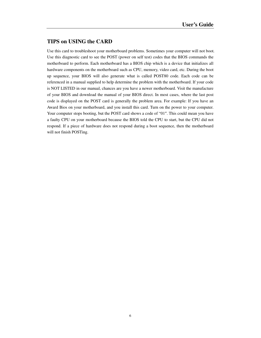## **TIPS on USING the CARD**

Use this card to troubleshoot your motherboard problems. Sometimes your computer will not boot. Use this diagnostic card to see the POST (power on self test) codes that the BIOS commands the motherboard to perform. Each motherboard has a BIOS chip which is a device that initializes all hardware components on the motherboard such as CPU, memory, video card, etc. During the boot up sequence, your BIOS will also generate what is called POST80 code. Each code can be referenced in a manual supplied to help determine the problem with the motherboard. If your code is NOT LISTED in our manual, chances are you have a newer motherboard. Visit the manufacture of your BIOS and download the manual of your BIOS direct. In most cases, where the last post code is displayed on the POST card is generally the problem area. For example: If you have an Award Bios on your motherboard, and you install this card. Turn on the power to your computer. Your computer stops booting, but the POST card shows a code of "01". This could mean you have a faulty CPU on your motherboard because the BIOS told the CPU to start, but the CPU did not respond. If a piece of hardware does not respond during a boot sequence, then the motherboard will not finish POSTing.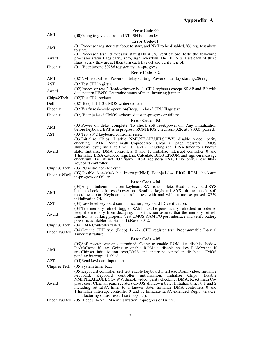|              | <b>Error Code-00</b>                                                                                                                                                                                                                                                                                                                                                                                                                  |
|--------------|---------------------------------------------------------------------------------------------------------------------------------------------------------------------------------------------------------------------------------------------------------------------------------------------------------------------------------------------------------------------------------------------------------------------------------------|
| AMI          | (00) Going to give control to INT 19H boot loader.                                                                                                                                                                                                                                                                                                                                                                                    |
|              | <b>Error Code-01</b>                                                                                                                                                                                                                                                                                                                                                                                                                  |
| AMI          | (01) Processor register test about to start, and NMI to be disabled, 286 reg. test about<br>to start.                                                                                                                                                                                                                                                                                                                                 |
| Award        | (01) Processor test 1; Processor status (1FLAGS) verification; Tests the following<br>processor status flags carry, zero, sign, overflow. The BIOS will set each of these<br>flags, verify they are set then turn each flag off and verify it is off.                                                                                                                                                                                 |
| Phoenix      | $(01)$ [Beep]=none 80286 register test in -progress.                                                                                                                                                                                                                                                                                                                                                                                  |
|              | <b>Error Code - 02</b>                                                                                                                                                                                                                                                                                                                                                                                                                |
| AMI          | (02) NMI is disabled. Power on delay starting. Power on de-lay starting. 286 reg.                                                                                                                                                                                                                                                                                                                                                     |
| <b>AST</b>   | (02) Test CPU register.                                                                                                                                                                                                                                                                                                                                                                                                               |
| Award        | (02) Processor test 2; Read/write/verify all CPU registers except SS, SP and BP with<br>data pattern FF&00. Determine status of manufacturing jumper.                                                                                                                                                                                                                                                                                 |
| Chips&Tech   | (02) Test CPU register.                                                                                                                                                                                                                                                                                                                                                                                                               |
| Dell         | $(02)$ [Beep]=1-1-3 CMOS write/read test.                                                                                                                                                                                                                                                                                                                                                                                             |
| Phoenix      | (02) Verify real-mode operation (Beep)=1-1-1-3. CPU Flags test.                                                                                                                                                                                                                                                                                                                                                                       |
| Phoenix      | $(02)$ [Beep]=1-1-3 CMOS write/read test in-progress or failure.                                                                                                                                                                                                                                                                                                                                                                      |
|              | Error Code – 03                                                                                                                                                                                                                                                                                                                                                                                                                       |
| AMI          | (03) Power on delay complete. To check soft reset/power-on. Any initialization<br>before keyboard BAT is in progress. ROM BIOS checksum(32K at F800:0) passed.                                                                                                                                                                                                                                                                        |
| <b>AST</b>   | (03) Test 8042 keyboard controller reset.                                                                                                                                                                                                                                                                                                                                                                                             |
| Award        | (03) Initialize Chips; Disable NMI, PIE, AIE, UEI, SQWV, disable video, parity<br>checking, DMA; Reset math Coprocessor; Clear all page registers, CMOS<br>shutdown byte; Initialize timer 0,1 and 2 including set EISA timer to a known<br>state; Initialize DMA controllers 0 and 1; Initialize interrupt controller 0 and<br>1; Initialize EISA extended registers. Calculate BIOS EPROM and sign-on message                       |
|              | checksum; fail if not 0.Initialize EISA registers (EISA) BIOS only). Clear 8042<br>keyboard controller.                                                                                                                                                                                                                                                                                                                               |
| Chips & Tech | (03) ROM did not checksum.                                                                                                                                                                                                                                                                                                                                                                                                            |
| Phoenix&Dell | (03) Disable Non-Maskable Interrupt (NMI). [Beep] = 1-1-4 BIOS ROM checksum<br>in-progress or failure.                                                                                                                                                                                                                                                                                                                                |
|              | Error Code – 04                                                                                                                                                                                                                                                                                                                                                                                                                       |
| AMI          | (04) Any initialization before keyboard BAT is complete. Reading keyboard SYS<br>bit, to check soft reset/power-on. Reading keyboard SYS bit, to check soft<br>reset/power On. Keyboard controller test with and without mouse passed. 8259<br>initialization OK.                                                                                                                                                                     |
| <b>AST</b>   | (04) Low level keyboard communication, keyboard ID verification.                                                                                                                                                                                                                                                                                                                                                                      |
| Award        | (04) Test memory refresh toggle; RAM must be periodically refreshed in order to<br>keep the memory from decaying. This function assures that the memory refresh<br>function is working properly. Test CMOS RAM I/O port interface and verify battery<br>power is available (bat. status=1). Reset 8042.                                                                                                                               |
| Chips & Tech | (04) DMA Controller failed.                                                                                                                                                                                                                                                                                                                                                                                                           |
| Phoenix&Dell | $(04)$ Get the CPU type $(Beep)=1-1-2-1$ .CPU register test. Programmable Interval                                                                                                                                                                                                                                                                                                                                                    |
|              | Timer test failure.<br>Error Code – 05                                                                                                                                                                                                                                                                                                                                                                                                |
|              | (05)Soft reset/power-on determined. Going to enable ROM. i.e. disable shadow                                                                                                                                                                                                                                                                                                                                                          |
| AMI          | RAM/Cache if any. Going to enable ROM.i.e. disable shadow RAM/cache if<br>any. Chipset initialization over, DMA and interrupt controller disabled. CMOS<br>pending interrupt disabled.                                                                                                                                                                                                                                                |
| AST          | (05)Read keyboard input port.                                                                                                                                                                                                                                                                                                                                                                                                         |
| Chips & Tech | $(05)$ System timer bad.                                                                                                                                                                                                                                                                                                                                                                                                              |
| Award        | (05) Keyboard controller self-test enable keyboard interface. Blank video, Initialize<br>keyboard; Keyboard<br>controller initialization.<br>Initialize<br>Disable<br>Chips;<br>NMI, PIE, AIE, UEI, SQ- WV, disable video, parity checking, DMA; Reset math Co-<br>processor; Clear all page registers, CMOS shutdown byte; Initialize timer 0,1 and 2<br>including set EISA timer to a known state; Initialize DMA controllers 0 and |
|              | 1; Initialize interrupt controller 0 and 1; Initialize EISA extended Regis- ters. Get<br>manufacturing status, reset if set(loop 1-5).                                                                                                                                                                                                                                                                                                |
|              | Phoenix&Dell $(05)$ [Beep]=1-2-2 DMA initialization in-progress or failure.                                                                                                                                                                                                                                                                                                                                                           |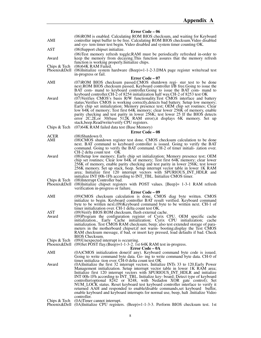### **Error Code – 06**

|                              | <b>ELLOL</b> Code – 00                                                                                                                                                                                                                                                                                                                                                                                                                                                                                                                                                                                                                                                                                                                               |
|------------------------------|------------------------------------------------------------------------------------------------------------------------------------------------------------------------------------------------------------------------------------------------------------------------------------------------------------------------------------------------------------------------------------------------------------------------------------------------------------------------------------------------------------------------------------------------------------------------------------------------------------------------------------------------------------------------------------------------------------------------------------------------------|
| AMI                          | (06)ROM is enabled. Calculating ROM BIOS checksum, and waiting for Keyboard<br>controller input buffer to be free. Calculating ROM BIOS checksum. Video disabled<br>and sys- tem timer test begin. Video disabled and system timer counting OK.                                                                                                                                                                                                                                                                                                                                                                                                                                                                                                      |
| AST                          | (06) Support chipset initialize.                                                                                                                                                                                                                                                                                                                                                                                                                                                                                                                                                                                                                                                                                                                     |
| Award                        | (06) Test memory refresh toggle; RAM must be periodically refreshed in-order to<br>keep the memory from decaying. This function assures that the memory refresh<br>function is working properly. Initialize chips.                                                                                                                                                                                                                                                                                                                                                                                                                                                                                                                                   |
| Chips & Tech<br>Phoenix&Dell | $(06)$ 64K RAM Failed.<br>$(06)$ Initialize system hardware $(Beep)=1-1-2-3$ . DMA page register write/read test<br>in-progress or fail.                                                                                                                                                                                                                                                                                                                                                                                                                                                                                                                                                                                                             |
|                              | <b>Error Code – 07</b>                                                                                                                                                                                                                                                                                                                                                                                                                                                                                                                                                                                                                                                                                                                               |
| AMI                          | (07) ROM BIOS checksum passed. CMOS shutdown regi-ster test to be done<br>next.ROM BIOS checksum passed, Keyboard controller I/B free.Going to issue the<br>BAT com- mand to keyboard controller. Going to issue the BAT com- mand to                                                                                                                                                                                                                                                                                                                                                                                                                                                                                                                |
| Award                        | keyboard controller. CH-2 of 8254 initialization half way. CH-2 of 8253 test OK<br>(07) Verifies CMOS's basis R/W functionality. Test CMOS interface and battery<br>status; Verifies CMOS is working correctly, detects bad battery. Setup low memory;<br>Early chip set initialization; Memory presence test; OEM chip set routines; Clear<br>low 64K of memory; Test first 64K memory; clear lower 256K of memory, enable<br>parity checking and test parity in lower 256K; test lower 25 If the BIOS detects<br>error 2C, 2E, or 30(base 512K RAM error), it displays 6K memory. Set up<br>stack, beep. Read/write/verify CPU registers.                                                                                                          |
| Chips & Tech                 | (07)64K RAM failed data test (Base Memory)                                                                                                                                                                                                                                                                                                                                                                                                                                                                                                                                                                                                                                                                                                           |
|                              | <b>Error Code – 08</b>                                                                                                                                                                                                                                                                                                                                                                                                                                                                                                                                                                                                                                                                                                                               |
| ACER<br>AMI                  | $(08)$ Shutdown 0.<br>(08)CMOS shutdown register test done. CMOS checksum calculation to be done<br>next. BAT command to keyboard controller is issued. Going to verify the BAT<br>command. Going to verify the BAT command. CH-2 of timer initiali- zation over.<br>CH-2 delta count test OK                                                                                                                                                                                                                                                                                                                                                                                                                                                        |
| Award                        | (08) Setup low memory; Early chip set initialization; Memory presence test; OEM<br>chip set routines; Clear low 64K of memory; Test first 64K memory; clear lower<br>256K of memory, enable parity checking and test parity in lower 256K; test lower<br>256K memory. Set up stack, beep. Setup interrupt vector table in lower 1K RAM<br>area; Initialize first 120 interrupt vectors with SPURIOUS_INT_HDLR and<br>initialize INT 00h-1Fh according to INT_TBL. Initialize CMOS timer.                                                                                                                                                                                                                                                             |
| Chips & Tech<br>Phoenix&Dell | (08) Interrupt Controller bad.<br>$(08)$ Initialize chipset registers with POST values. [Beep]= 1-3-1 RAM refresh<br>verification in-progress or failure.                                                                                                                                                                                                                                                                                                                                                                                                                                                                                                                                                                                            |
| AMI                          | Error Code – 09<br>(09)CMOS checksum calculation is done, CMOS diag byte written. CMOS<br>initialize to begin. Keyboard controller BAT result verified. Keyboard command<br>byte to be written next.(09)Keyboard command byte to be written next. CH-1 of<br>timer initialization over. CH-1 delta count test OK.                                                                                                                                                                                                                                                                                                                                                                                                                                    |
| AST<br>Award                 | (09) Verify BIOS ROM checksum, flush external cache.<br>(09)Program the configuration register of Cyrix CPU. OEM specific cache<br>initialization., Early Cache initialization; Cyrix CPU initialization;<br>cache<br>initialization. Test CMOS RAM checksum; beep; also test extended storage of para-<br>meters in the motherboard chipset; if not warm-booting; display the Test CMOS<br>RAM checksum message, if bad, or insert key pressed, load defaults if bad. Check<br><b>BIOS</b> Checksum.                                                                                                                                                                                                                                                |
| Chips & Tech<br>Phoenix&Dell | (09) Unexpected interrupt is occurring.<br>(09)Set POST flay.(Beep)=1-1-3-2. 1st 64K RAM test in-progress.                                                                                                                                                                                                                                                                                                                                                                                                                                                                                                                                                                                                                                           |
| AMI                          | Error Code – 0A<br>(0A)CMOS initialization done(if any). Keyboard command byte code is issued.<br>Going to write command byte data. Go- ing to write command byte data. CH-0 of                                                                                                                                                                                                                                                                                                                                                                                                                                                                                                                                                                      |
| Award                        | timer initializa-tion over. CH-0 delta count test OK<br>(0A)Initialize the first 32 interrupt vectors. Initialize INTs 33 to 120. Early Power<br>Management initialization. Setup interrupt vector table in lower 1K RAM area;<br>Initialize first 120 interrupt vectors with SPURIOUS_INT_HDLR and initialize<br>INT 00h-1Fh according to INT_TBL. Initialize key-board; Detect type of keyboard<br>controller(optional 8242 or 8248, with Nedadon XOR gate control); Set<br>NUM_LOCK status. Reset keyboard test keyboard controller interface to verify it<br>returned AAH and responded to enable/disable commands, set keyboard buffer,<br>enable keyboard and keyboard interrupts for normal use, beep, halt . Initialize Video<br>controller. |
| Chips & Tech                 | (0A)Timer cannot interrupt.<br>Phoenix&Dell (0A)Initialize CPU registers. (Beep)=1-1-3-3. Perform BIOS checksum test. 1st                                                                                                                                                                                                                                                                                                                                                                                                                                                                                                                                                                                                                            |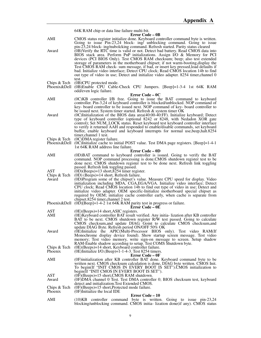|                              | 64K RAM chip or data line failure multi-bit.                                                                                                                                                                                                                                                                                                                                                                                                                                                                                                                                                                                                                                                    |
|------------------------------|-------------------------------------------------------------------------------------------------------------------------------------------------------------------------------------------------------------------------------------------------------------------------------------------------------------------------------------------------------------------------------------------------------------------------------------------------------------------------------------------------------------------------------------------------------------------------------------------------------------------------------------------------------------------------------------------------|
| AMI                          | <b>Error Code – 0B</b><br>CMOS status register initialize done. Keyboard controller command byte is written.<br>Going to issue $Pin-23,24$ block- ing, unblocking command. Going to issue                                                                                                                                                                                                                                                                                                                                                                                                                                                                                                       |
| Award                        | pin-23,24 block- ing/nubolcking command. Refresh started. Parity status cleared<br>(0B) Verify the RTC time is valid or not. Detect bad battery. Read CMOS data into<br>BIOS stack area. Perform PnP initializations. Assign I/O & Memory for PCI<br>devices (PCI BIOS Only). Test CMOS RAM checksum; beep; also test extended<br>storage of parameters in the motherboard chipset; if not warm-booting, display the<br>Test CMOS RAM check- sum message, if bad, or insert key pressed, load defaults if<br>bad. Initialize video interface; Detect CPU clock; Read CMOS location 14b to find<br>out type of video in use; Detect and initialize video adapter. 8254 timer, channel 0<br>test. |
| Chips & Tech<br>Phoenix&Dell | (0B)CPU protected mode.<br>(0B)Enable CPU Cable-Check CPU Jumpers. [Beep]=1-3-4 1st 64K RAM<br>odd/even logic failure.                                                                                                                                                                                                                                                                                                                                                                                                                                                                                                                                                                          |
|                              | Error Code – 0C                                                                                                                                                                                                                                                                                                                                                                                                                                                                                                                                                                                                                                                                                 |
| AMI                          | (0C)KB controller I/B free. Going to issue the BAT command to keyboard<br>controller. Pin-3,24 of keyboard controller is blocked/unblocked. NOP command of<br>key- board controller to be issued next. NOP command of key- board controller to<br>be issued next. System timer started. Refresh & system timer OK                                                                                                                                                                                                                                                                                                                                                                               |
| Award                        | $(0)$ Initialization of the BIOS data area $(40:00-40:FF)$ . Initialize keyboard; Detect<br>type of keyboard controller (optional 8242 or 8248, with Nedadon XOR gate<br>control); Set NUM_LOCK status. Reset keyboard test keyboard controller interface<br>to verify it returned AAH and responded to enable/disable commands, set keyboard<br>buffer, enable keyboard and keyboard interrupts for normal use, beep, halt. 8254<br>timer, channel 1 test.                                                                                                                                                                                                                                     |
| Chips & Tech<br>Phoenix&Dell | (0C) DMA register failure.<br>$(0)$ Initialize cache to initial POST value. Test DMA page registers. [Beep]=1-4-1<br>1st 64K RAM address line failure.                                                                                                                                                                                                                                                                                                                                                                                                                                                                                                                                          |
|                              | Error Code – 0D                                                                                                                                                                                                                                                                                                                                                                                                                                                                                                                                                                                                                                                                                 |
| AMI                          | (0D)BAT command to keyboard controller is issued. Going to verify the BAT<br>command. NOP command processing is done.CMOS shutdown register test to be<br>done next. CMOS shutdown register test to be done next. Refresh link toggling<br>passed. Refresh link toggling passed.                                                                                                                                                                                                                                                                                                                                                                                                                |
| AST<br>Chips & Tech<br>Award | $(0D)(Beeps) = 13$ short, 8254 timer register.<br>$(0D)$ (Beeps)=14 short, Refresh failure.<br>(0D)Program some of the chipset's value. Measure CPU speed for display. Video<br>initialization including MDA, CGA, EGA/VGA. Initialize video interface; Detect<br>CPU clock; Read CMOS location 14b to find out type of video in use; Detect and<br>initialize video adapter. OEM specific-Initialize motherboard special chipset as<br>required by OEM; initialize cache controller early, when cache is separate from<br>chipset.8254 timer, channel 2 test.                                                                                                                                  |
|                              | Phoenix & Dell $(0\bar{D})$ [Beep]=1-4-2 1st 64K RAM parity test in progress or failure.<br>Error Code – 0E                                                                                                                                                                                                                                                                                                                                                                                                                                                                                                                                                                                     |
| AST<br>AMI                   | $(0E)$ (Beeps)=14 short, ASIC registers.<br>(0E) Keyboard controller BAT result verified. Any initia- lization after KB controller<br>BAT to be next. CMOS shutdown register R/W test passed. Going to calculate<br>CMOS checksum, and update DIAG. Goint to calculate CMOS checksum, and<br>update DIAG Byte. Refresh period ON/OFF 50% OK                                                                                                                                                                                                                                                                                                                                                     |
| Award                        | (0E)Initialize the APIC(Multi-Processor BIOS only). Test video RAM(If<br>Monochrome display device found). Show startup screen message. Test video<br>memory; Test video memory, write sign-on message to screen. Setup shadow<br>RAM-Enable shadow according to setup. Test COMS Shutdown byte.                                                                                                                                                                                                                                                                                                                                                                                                |
| Chips & Tech<br>Phoenix      | (0E)(Beeps)=14 short, Keyboard controller failure.<br>(0E)Initialize I/O.(Beep)=1-1-4-3. Test 8254 timers.<br><b>Error Code – 0F</b>                                                                                                                                                                                                                                                                                                                                                                                                                                                                                                                                                            |
| AMI                          | (0F) initialization after KB controller BAT done. Keyboard command byte to be<br>written next. CMOS checksum calculation is done, DIAG byte written. CMOS Init.<br>To begin(If "INIT CMOS IN EVERY BOOT IS SET").CMOS initialization to<br>begin(If "INIT CMOS IN EVERY BOOT IS SET").                                                                                                                                                                                                                                                                                                                                                                                                          |
| AST<br>Award                 | $(0)$ (Beeps)=15 short, CMOS RAM shutdown.<br>(0F)DMA channel 0 Test. Test DMA controller 0; BIOS checksum test, keyboard<br>detect and initialization. Test Extended CMOS.                                                                                                                                                                                                                                                                                                                                                                                                                                                                                                                     |
| Chips & Tech<br>Phoenix      | $(0)$ (Beeps)=15 short, Protected mode failure.<br>(0F)Initialize the local IDE                                                                                                                                                                                                                                                                                                                                                                                                                                                                                                                                                                                                                 |
| AMI                          | <b>Error Code – 10</b><br>$(10)KB$ controller command byte is written. Going to issue pin-23,24                                                                                                                                                                                                                                                                                                                                                                                                                                                                                                                                                                                                 |
|                              | blocking/unblocking command. CMOS initia- lization done(if any). CMOS status                                                                                                                                                                                                                                                                                                                                                                                                                                                                                                                                                                                                                    |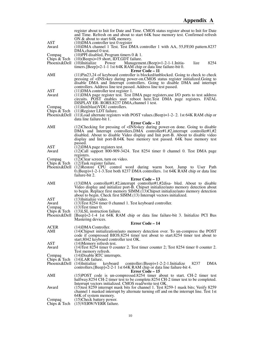|                               | register about to Init for Date and Time. CMOS status register about to Init for Date<br>and Time. Refresh on and about to start 64K base memory test. Confirmed refresh<br>ON & about to start 64K memory.                                                                                                                                             |
|-------------------------------|---------------------------------------------------------------------------------------------------------------------------------------------------------------------------------------------------------------------------------------------------------------------------------------------------------------------------------------------------------|
| AST<br>Award                  | $(10)$ DMA controller test 0 register<br>(10) DMA channel 1 Test. Test DMA controller 1 with AA, 55, FF, 00 pattern. 8237<br>DMA, channel 0 test.                                                                                                                                                                                                       |
| Compaq<br>Chips & Tech        | $(10)$ PPI disabled, Program timers 0 & 1.<br>(10)(Beeps)=19 short, IDT,GDT failure.                                                                                                                                                                                                                                                                    |
| Phoenix&Dell                  | 8254<br>$(10)$ Initialize<br>Power<br>Management. (Beep)=1-2-1-1. Initia-<br>lize<br>timers. [Beep]=2-1-1 1st 64K RAM chip or data line failure-bit 0.<br>Error Code – 11                                                                                                                                                                               |
| AMI                           | $(11)Pin23,24$ of keyboard controller is blocked/unblocked. Going to check to check<br>pressing of <ins>key during power-on.CMOS status register initialized.Going to<br/>disable DMA and Interrupt controllers. Going to disable DMA and interrupt<br/>controllers. Address line test passed. Address line test passed.</ins>                          |
| AST<br>Award                  | $(11)$ DMA controller test register 1.<br>(11) DMA page register test. Test DMA page registers, use I/O ports to test address<br>circuits. POST enables user reboot here. Test DMA page registers. FATAL<br>DISPLAY ER-RORS.8237 DMA, channel 1 test.                                                                                                   |
| Compaq<br>Chips & Tech        | (11)Init(blast)VDU controllers.<br>(11) Register LDT failure.<br>Phoenix&Dell (11)Load alternate registers with POST values.(Beep)=1-2-2. 1st 64K RAM chip or<br>data line failure-bit 1.                                                                                                                                                               |
|                               | Error Code – 12                                                                                                                                                                                                                                                                                                                                         |
| AMI                           | (12) Checking for pressing of <ins>key during power-on done. Going to disable<br/>DMA and Interrupt controllers. DMA controller#1,#2, interrupt controller#1,#2<br/>disabled. About to disable Video display and Init port-B. About to disable video<br/>display and Init port-B.64K base memory test passed. 64K base memory test<br/>passed.</ins>    |
| <b>AST</b>                    | $(12)$ DMA page registers test.                                                                                                                                                                                                                                                                                                                         |
| Award                         | $(12)$ Call support 800-909-3424. Test 8254 timer 0 channel 0. Test DMA page<br>registers.                                                                                                                                                                                                                                                              |
| Compaq                        | $(12)$ Clear screen, turn on video.                                                                                                                                                                                                                                                                                                                     |
| Chips & Tech<br>Phoenix&Dell  | $(12)$ Task register failure.<br>(12) Restore CPU control word during warm boot. Jump to User Path<br>$0.$ (Beep)=1-2-1-3. Test both 8237 DMA controllers. 1st 64K RAM chip or data line<br>failure-bit 2.                                                                                                                                              |
| AMI                           | Error Code - 13<br>$(13)$ DMA controller#1,#2, interrupt controller#1,#2disa- bled. About to disable<br>Video display and initialize port-B. Chipset initialize/auto memory detection about<br>to begin. Replace first memory SIMM.(13)Chipset initialize/auto memory detection<br>about to begin. Check first SIMM.(13) Interrupt vectors initialized. |
| <b>AST</b><br>Award<br>Compaq | (13) Initialize video.<br>(13) Test 8254 timer 0 channel 1. Test keyboard controller.<br>$(13)$ Test timer 0.                                                                                                                                                                                                                                           |
| Chips & Tech<br>Phoenix&Dell  | $(13)$ LSL instruction failure.<br>[Beep]=2-1-4 1st 64K RAM chip or data line failure-bit 3. Initialize PCI Bus                                                                                                                                                                                                                                         |
|                               | Mastering devices.<br>Error Code - 14                                                                                                                                                                                                                                                                                                                   |
| ACER<br>AMI                   | $(14)$ DMA Controller.<br>(14) Chipset initialization/auto memory detection over. To un-compress the POST<br>code if compressed BIOS.8254 timer test about to start.8254 timer test about to                                                                                                                                                            |
| AST                           | start.8042 keyboard controller test OK.<br>(14) Memory refresh test.                                                                                                                                                                                                                                                                                    |
| Award                         | (14) Test 8254 timer 0 counter 2. Test timer counter 2; Test 8254 timer 0 counter 2.                                                                                                                                                                                                                                                                    |
| Compaq                        | Test memory refresh.<br>(14) Disable RTC interrupts.                                                                                                                                                                                                                                                                                                    |
| Chips & Tech<br>Phoenix&Dell  | $(14)$ LAR failure.<br>$(14)$ Initialize<br>keyboard<br>$controller.(Beep)=1-2-2-1.$ Initialize<br>8237<br><b>DMA</b><br>controllers. [Beep]=2-2-1 1st 64K RAM chip or data line failure-bit 4.<br>Error Code – 15                                                                                                                                      |
| AMI                           | (15) POST code is un-compressed. 8254 timer about to start. CH-2 timer test<br>halfway.8254 CH-2 timer test to be complete.8254 CH-2 timer test to be completed.<br>Interrupt vectors initialized. CMOS read/write test OK.                                                                                                                             |
| Award                         | (15) test 8259 interrupt mask bits for channel 1. Test 8259-1 mask bits; Verify 8259<br>channel 1 masked interrupt by alternate turning off and on the interrupt line. Test 1st                                                                                                                                                                         |
| Compaq<br>Chips & Tech        | 64K of system memory.<br>(15) Check battery power.<br>(15) VERW/VERR failure.                                                                                                                                                                                                                                                                           |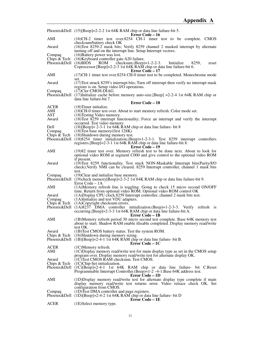|                                                      | Phoenix&Dell (15)[Beep]=2-2-2 1st 64K RAM chip or data line failure-bit 5.                                                                                                                                                                                                                                                            |
|------------------------------------------------------|---------------------------------------------------------------------------------------------------------------------------------------------------------------------------------------------------------------------------------------------------------------------------------------------------------------------------------------|
| AMI                                                  | Error Code – 16<br>(16)CH-2 timer test over 8254 CH-1 timer test to be complete. CMOS<br>checksum/battery check OK                                                                                                                                                                                                                    |
| Award                                                | (16) Test 8259-2 mask bits; Verify 8259 channel 2 masked interrupt by alternate<br>turning off and on the interrupt line. Setup Interrupt vectors.                                                                                                                                                                                    |
| Compaq<br>Chips & Tech<br>Phoenix & Dell $(16)$ BIOS | $(16)$ Battery power was lost.<br>(16) Keyboard controller gate A20 failure.<br>checksum.(Beep)= $1-2-2-3$ .<br><b>ROM</b><br>Initialize<br>8259,<br>reset<br>Coprocessor. [Beep]=2-2-3 1st 64K RAM chip or data line failure-bit 6.                                                                                                  |
| AMI                                                  | Error Code – 17<br>(17) CH-1 timer test over 8254 CH-0 timer test to be completed. Monochrome mode                                                                                                                                                                                                                                    |
| Award                                                | set.<br>(17) Test struck 8259's interrupt bits; Turn off interrupt then verify no interrupt mask                                                                                                                                                                                                                                      |
| Compaq                                               | register is on. Setup video I/O operations.<br>$(17)$ Cler CMOS-DIAG<br>Phoenix&Dell (17)Initialize cache before memory auto-size.[Beep] = 2-2-4 1st 64K RAM chip or<br>data line failure-bit 7.                                                                                                                                      |
|                                                      | <b>Error Code – 18</b>                                                                                                                                                                                                                                                                                                                |
| ACER<br>AMI                                          | $(18)$ Timer initialize.<br>(18)CH-0 timer test over. About to start memory refresh. Color mode set.                                                                                                                                                                                                                                  |
| AST<br>Award                                         | (18) Testing Video memory.<br>$(18)$ Test 8259 interrupt functionality; Force an interrupt and verify the interrupt                                                                                                                                                                                                                   |
| Dell<br>Compaq                                       | occurred. Test video memory.<br>$(18)$ [Beep]= 2-3-1 1st 64K RAM chip or data line failure- bit 8<br>$(18)$ Test base memory(first 128K)                                                                                                                                                                                              |
| Chips $\&$ Tech                                      | (18) Shutdown during memory test.<br>Phoenix&Dell $(18)8254$ timer initialization. (Beep)=1-2-3-1. Test 8259 interrupt controllers<br>registers. [Beep]=2-3-1 1st 64K RAM chip or data line failure-bit 8.<br>Error Code – 19                                                                                                         |
| AMI                                                  | (19)82 timer test over. Memory refresh test to be done next. About to look for<br>optional video ROM at segment C000 and give control to the optional video ROM                                                                                                                                                                       |
| Award                                                | if present.<br>(19) Test 8259 functionality. Test stuck NON-Maskable Interrupt bits (Parity/I/O<br>check); Verify NMI can be cleared. 8259 Interrupt controller, channel 1 mask bits<br>test.                                                                                                                                         |
| Compaq                                               | (19) Clear and initialize base memory.<br>Phoenix&Dell (19)check memory[Beep]=2-3-2 1st 64K RAM chip or data line failure-bit 9.<br>Error Code – 1A                                                                                                                                                                                   |
| AMI                                                  | (1A)Memory refresh line is toggling. Going to check 15 micro second ON/OFF<br>time. Return from optional video ROM. Optional video ROM control OK                                                                                                                                                                                     |
| Award<br>Compaq                                      | (1A) Display CPU clock.8259 Interrupt controller, channel 2 mask bits test.<br>(1A)Initialize and test VDU adapters.                                                                                                                                                                                                                  |
| Chips & Tech                                         | (1A)Copyright checksum errors.<br>Phoenix&Dell (1A)8237 DMA controller initialization.(Beep)=1-2-3-3. Verify refresh is<br>occurring. [Beep]=2-3-3 1st 64K RAM chip or data line failure-bit A.                                                                                                                                       |
| AMI                                                  | Error Code – 1B<br>(1B)Memory refresh period 30 micro second test complete. Base 64K memory test<br>about to start. Shadow RAM enable /disable completed. Display memory read/write                                                                                                                                                   |
| Award<br>Chips & Tech                                | test OK.<br>(1B) Test CMOS battery status. Test the system ROM.<br>(1b)Shutdown during memory sizing.<br>Phoenix&Dell $(1B)$ [Beep]=2-4-1 1st 64K RAM chip or data line failure- bit B.<br>Error Code – 1C                                                                                                                            |
| <b>ACER</b><br>AMI                                   | (1C)Memory refresh.<br>$(1C)$ Display memory read/write test for main display type as set in the CMOS setup                                                                                                                                                                                                                           |
| Award<br>Chips & Tech                                | program over. Display memory read/write test for alternate display OK.<br>(1C) Test CMOS RAM checksum. Test CMOS.<br>(1C)Chip-Set initialization.<br>Phoenix&Dell (1C)[Beep]=2-4-1 1st 64K RAM chip or data line failure- bit C.Reset<br>Programmable Interrupt Controller. (Beep)=1-2-4-1. Base 64K address test.<br>Error Code – 1D |
| AMI                                                  | (1D) Display memory read/write test for alternate display type complete if main<br>display memory read/write test returns error. Video retrace check OK. Set                                                                                                                                                                          |
| Compaq                                               | configuration from CMOS.<br>(1D)Test DMA controller and page registers.<br>Phoenix&Dell $(1D)[Beep]=2-4-2$ 1st 64K RAM chip or data line failure- bit D<br>Error Code – 1E                                                                                                                                                            |
| <b>ACER</b>                                          | (1E)Select memory type.                                                                                                                                                                                                                                                                                                               |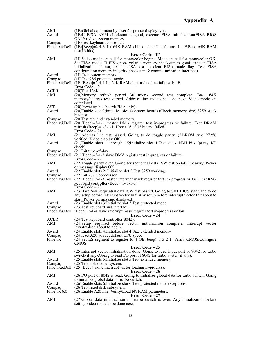| AMI<br>Award    | (1E)Global equipment byte set for proper display type.<br>(1E) If EISA NVM checksum is good, execute EISA initialization (EISA BIOS<br>ONLY). Size system memory. |
|-----------------|-------------------------------------------------------------------------------------------------------------------------------------------------------------------|
| Compaq          | (1E) Test keyboard controller.<br>Phoenix&Dell (1E)[Beep]=2-4-3 1st 64K RAM chip or data line failure- bit E.Base 64K RAM                                         |
|                 | test(16 bits).                                                                                                                                                    |
| AMI             | Error Code - 1F                                                                                                                                                   |
|                 | (1F)Video mode set call for mono/color begins. Mode set call for mono/color OK.<br>Set EISA mode; If EISA non-volatile memory checksum is good, execute EISA      |
|                 | initialization. If not, execute ISA test an clear EISA mode flag. Test EISA                                                                                       |
|                 | configuration memory integrity (checksum & comm.- unication interface).                                                                                           |
| Award           | $(1F)$ Test system memory.                                                                                                                                        |
| Compaq          | (1F)Test 286 protected mode.                                                                                                                                      |
|                 | Phoenix&Dell $(1F)[Beep]=2-4-4$ 1st 64K RAM chip or data line failure- bit F.<br>Error Code $-20$                                                                 |
| <b>ACER</b>     | $(20)$ Test 128K.                                                                                                                                                 |
| AMI             | (20)Memory refresh period 30 micro second test complete. Base 64K                                                                                                 |
|                 | memory/address test started. Address line test to be done next. Video mode set                                                                                    |
|                 | completed.                                                                                                                                                        |
| AST<br>Award    | (20) Power up bus board (EISA only).<br>$(20)$ Enable slot 0;Initialize slot 0(system board). (Check memory size). 8259 stuck                                     |
|                 | bits test.                                                                                                                                                        |
| Compaq          | (20) Test real and extended memory.                                                                                                                               |
|                 | Phoenix&Dell (20)[Beep]=3-1-1 master DMA register test in-progress or failure. Test DRAM                                                                          |
|                 | refresh. (Beep)= $1-3-1-1$ . Upper 16 of 32 bit test failed.<br>Error Code $-21$                                                                                  |
| AMI.            | $(21)$ Address line test passed. Going to do toggle parity. $(21)$ ROM type 27256                                                                                 |
|                 | verified. Video display OK.                                                                                                                                       |
| Award           | (21) Enable slots 1 through 15; Initialize slot 1. Test stuck NMI bits (parity I/O                                                                                |
|                 | check).                                                                                                                                                           |
| Compaq          | (21)Init time-of-day.<br>Phoenix & Dell $(21)$ [Beep]=3-1-2 slave DMA register test in-progress or failure.                                                       |
|                 | Error Code $-22$                                                                                                                                                  |
| AMI             | (22)Toggle parity over. Going for sequential data R/W test on 64K memory. Power                                                                                   |
|                 | on message display OK.                                                                                                                                            |
| Award           | (22) Enable slots 2; Initialize slot 2. Test 8259 working.                                                                                                        |
| Compaq          | (22) Init 287 Coprocessor.<br>Phoenix&Dell (22)[Beep]=3-1-3 master interrupt mask register test in- progress or fail. Test 8742                                   |
|                 | keyboard controller. (Beep)=1-3-1-3                                                                                                                               |
|                 | $Error Code - 23$                                                                                                                                                 |
| AMI             | (23) Base 64K sequential data R/W test passed. Going to SET BIOS stack and to do                                                                                  |
|                 | any setup before Interrupt vector Init. Any setup before interrupt vector Init about to<br>start. Power on message displayed.                                     |
| Award           | (23) Enable slots 3; Initialize slot 3. Test protected mode.                                                                                                      |
| Compaq          | (23) Test keyboard and interface.                                                                                                                                 |
|                 | Phoenix&Dell [Beep]=3-1-4 slave interrupt mask register test in-progress or fail.                                                                                 |
| <b>ACER</b>     | <b>Error Code – 24</b><br>(24) Test keyboard controller (8042).                                                                                                   |
| AMI             | (24) Setup required before vector initialization complete. Interrupt vector                                                                                       |
|                 | initialization about to begin.                                                                                                                                    |
| Award           | (24) Enable slots 4; Initialize slot 4. Size extended memory.                                                                                                     |
| Compaq          | (24) reset A20 ads set default CPU speed.                                                                                                                         |
| Phoenix         | (24)Set ES segment to register to 4 GB.(beep)=1-3-2-1. Verify CMOS/Configure<br>CMOS.                                                                             |
|                 | Error Code – 25                                                                                                                                                   |
| AMI             | (25) Interrupt vector initialization done. Going to read Input port of 9042 for turbo                                                                             |
|                 | switch (if any). Going to read I/O port of 8042 for turbo switch (if any).                                                                                        |
| Award<br>Compaq | $(25)$ Enable slots 5; Initialize slot 5. Test extended memory.<br>(25) Test diskette subsystem.                                                                  |
|                 | Phoenix&Dell (25)[Beep]=none interrupt vector loading in-progress.                                                                                                |
|                 | <b>Error Code – 26</b>                                                                                                                                            |
| AMI             | (26)I/O port of 8042 is read. Going to initialize global data for turbo switch. Going                                                                             |
| Award           | to initialize global data for turbo switch.<br>(26) Enable slots 6; Initialize slot 6. Test protected mode exceptions.                                            |
| Compaq          | (26) Test fixed disk subsystem.                                                                                                                                   |
| Phoenix 6.0     | (26) Enable A20 line. Verify/Load NVRAM parameters.                                                                                                               |
|                 | <b>Error Code – 27</b>                                                                                                                                            |
| AMI             | (27) Global data initialization for turbo switch is over. Any initialization before                                                                               |
|                 | setting video mode to be done next.                                                                                                                               |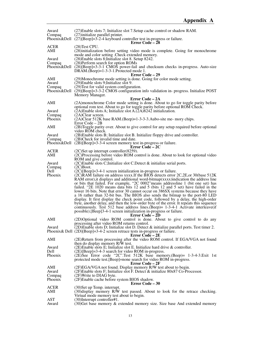| Award              | (27) Enable slots 7; Initialize slot 7. Setup cache control or shadow RAM.                                                                                                    |
|--------------------|-------------------------------------------------------------------------------------------------------------------------------------------------------------------------------|
| Compaq             | (27) initialize parallel printer.                                                                                                                                             |
|                    | Phoenix&Dell $(27)$ [Beep]=3-2-4 keyboard controller test in-progress or failure.                                                                                             |
| <b>ACER</b>        | <b>Error Code – 28</b><br>(28) Test CPU.                                                                                                                                      |
| AMI                | (28) initialization before setting video mode is complete. Going for monochrome                                                                                               |
|                    | mode and color setting . Check extended memory.                                                                                                                               |
| Award<br>Compaq    | (28) Enable slots 8; Initialize slot 8. Setup 8242.<br>(28) Perform search for option ROMs                                                                                    |
|                    | Phoenix&Dell (28)[Beep]=3-3-1 CMOS power-fail and checksum checks in-progress. Auto-size                                                                                      |
|                    | DRAM.(Beep)=1-3-3-1.Protected mode 1.                                                                                                                                         |
| AMI                | Error Code - 29<br>(29)Monochrome mode setting is done. Going for color mode setting.                                                                                         |
| Award              | (29) Enable slots 9; Initialize slot 9.                                                                                                                                       |
| Compaq             | (29) Test for valid system configuration.                                                                                                                                     |
|                    | Phoenix&Dell $(29)$ [Beep]=3-3-2 CMOS configuration info validation in- progress. Initialize POST                                                                             |
|                    | Memory Manager.<br>Error Code – 2A                                                                                                                                            |
| AMI                | (2A)monochrome Color mode setting is done. About to go for toggle parity before                                                                                               |
|                    | optional rom test. About to go for toggle parity before optional ROM Check.                                                                                                   |
| Award              | $(2A)$ Enable slots A; Initialize slot A. $(\overline{2}A)8242$ initialization.                                                                                               |
| Compaq<br>Phoenix  | $(2A)$ Clear screen.<br>(2A)Clear 512K base RAM.(Beep)=1-3-3-3.Aubo-site me- mory chips.                                                                                      |
|                    | Error Code – 2B                                                                                                                                                               |
| AMI                | (2B)Toggle parity over. About to give control for any setup required before optional<br>video ROM check.                                                                      |
| Award<br>Compaq    | (2B) Enable slots B; Initialize slot B. Initialize floppy drive and controller.<br>(2B)Check for invalid time and date.                                                       |
|                    | Phoenix & Dell $(2B)[Beep]=3-3-4$ screen memory test in-progress or failure.                                                                                                  |
|                    | Error Code – 2C                                                                                                                                                               |
| <b>ACER</b><br>AMI | (2C)Set up interrupt controller(8259).<br>(2C)Processing before video ROM control is done. About to look for optional video                                                   |
|                    | ROM and give control.                                                                                                                                                         |
| Award              | $(2C)$ Enable slots C; Initialize slot C. Detect $\&$ initialize serial ports.                                                                                                |
| Compaq             | $(2C)$ Boot.                                                                                                                                                                  |
| Dell<br>Phoenix    | $(2C)[Beep]=3-4-1$ screen initialization in-progress or failure.<br>(2C)RAM failure on address xxxx. If the BIOS detects error 2C, 2E, or 30(base 512K)                       |
|                    | RAM error), it displays and additional word-bitmap(xxxx) indication the address line                                                                                          |
|                    | or bits that failed. For example, "2C 0002" means addressline 1 (bit one set) has                                                                                             |
|                    | failed. "2E 1020 means data bits 12 and 5 (bits 12 and 5 set) have failed in the                                                                                              |
|                    | lower 16 bits. Note that error 30 cannot occur on 386SX systems because they have<br>a 16 rather than 32-bit bus. The BIOS also sends the bitmap to the port-80 LED           |
|                    | display. It first display the check point code, followed by a delay, the high-order                                                                                           |
|                    | byte, another delay, and then the low-order byte of the error. It repeats this sequence                                                                                       |
|                    | continuously. Test 512 base address lines. (Beep) = 1-3-4-1 Activate interleave (if<br>possible). [Beep]3-4-1 screen initialization in-progress or failure.                   |
|                    | <b>Error Code – 2D</b>                                                                                                                                                        |
| AMI                | (2D)Optional video ROM control is done. About to give control to do any                                                                                                       |
|                    | processing after video ROM returns control.                                                                                                                                   |
| Award              | $(2D)$ Enable slots D; Initialize slot D. Detect & initialize parallel ports. Test timer 2.<br>Phoenix & Dell $(2D)[Beep]=3-4-2$ screen retrace tests in-progress or failure. |
|                    | <b>Error Code – 2E</b>                                                                                                                                                        |
| AMI                | (2E)Return from processing after the video ROM control. If EGA/VGA not found                                                                                                  |
| Award              | then do display memory R/W test.                                                                                                                                              |
| Dell               | (2E)Enable slots E; Initialize slot E. Initialize hard drive & controller.<br>$(2E)$ [Beep]=3-4-3 search for video ROM in-progress.                                           |
| Phoenix            | $(2E)$ See Error code "2C".Test 512K base memory.(Beep)= 1-3-4-3.Exit 1st                                                                                                     |
|                    | protected mode test. [Beep]=none search for video ROM in-progress.<br>Error Code – 2F                                                                                         |
| AMI                | (2F)EGA/VGA not found. Display memory R/W test about to begin.                                                                                                                |
| Award              | $(2F)$ Enable slots F; Initialize slot F. Detect & initialize 80x87 Co-Processor.                                                                                             |
| Compaq<br>Phoenix  | $(2F)$ Write to DIAG byte.<br>(2F)Enable cache before system BIOS shadow.                                                                                                     |
|                    | <b>Error Code – 30</b>                                                                                                                                                        |
| <b>ACER</b>        | (30) Set up Temp. interrupt.                                                                                                                                                  |
| AMI                | (30) display memory R/W test passed. About to look for the retrace checking.<br>Virtual mode memory test about to begin.                                                      |
| <b>AST</b>         | $(30)$ Interrupt controller#1.                                                                                                                                                |
| Award              | (30) Get base memory & extended memory size. Size base And extended memory                                                                                                    |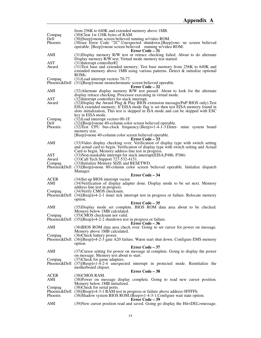|                           | from 256K to 640K and extended memory above 1MB.                                                                                                                                                                                                                                                                               |
|---------------------------|--------------------------------------------------------------------------------------------------------------------------------------------------------------------------------------------------------------------------------------------------------------------------------------------------------------------------------|
| Compaq<br>Dell            | (30)Clear 1st 128K bytes of RAM.<br>(30)[beep]=none screen believed running w/video ROM.                                                                                                                                                                                                                                       |
| Phoenix                   | (30) see Error Code "2C". Unexpected shutdown. [Beep] = no- ne screen believed<br>operable. [Beep]=none screen believed running w/video ROM.                                                                                                                                                                                   |
|                           | Error Code – 31                                                                                                                                                                                                                                                                                                                |
| AMI                       | (31) Display memory R/W test or retrace checking failed. About to do alternate<br>Display memory R/W test. Virtual mode memory test started.                                                                                                                                                                                   |
| AST<br>Award              | $(31)$ Interrupt controller#2.<br>(31) Test base and extended memory; Test base memory from 256K to 640K and<br>extended memory above 1MB using various patterns. Detect $\&$ initialize optional<br>ROM <sub>s</sub> .                                                                                                        |
| Compaq                    | (31) Load interrupt vectors 70-77.<br>Phoenix&Dell (31)[Beep]=none monochromatic screen believed operable.                                                                                                                                                                                                                     |
| AMI                       | Error Code – 32<br>(32) Alternate display memory R/W test passed. About to look for the alternate<br>display retrace checking. Processor executing in virtual mode.                                                                                                                                                            |
| AST<br>Award              | (32) Interrupt controllers for stuck interrupt.<br>(32) Display the Award Plug & Play BIOS extension message (PnP BIOS only). Test<br>EISA extended memory; If EISA mode flag is set then test EISA memory found in<br>slots initialization, This test is skipped in ISA mode and can be skipped with ESC<br>key in EISA mode. |
| Compaq<br>Dell<br>Phoenix | (32) Load interrupt vectors 00-1F.<br>$(32)$ [Beep]=none 40-column color screen believed operable.<br>$(32)$ Test CPU bus-clock frequency. (Beep)=1-4-1-3. Deter- mine system board<br>memory size.                                                                                                                            |
|                           | [Beep]=none 40-column color screen believed operable.<br>Error Code – 33                                                                                                                                                                                                                                                       |
| AMI                       | (33) Video display checking over. Verification of display type with switch setting<br>and actual card to begin. Verification of display type with switch setting and Actual                                                                                                                                                    |
| AST<br>Award<br>Compaq    | Card to begin. Memory address line test in progress.<br>(33) Non-maskable interrupt for stuck interrupt (EISA, P486, P386)<br>(33) Call Tech Support 727-532-4151.<br>(33) Initialize Memory SIZE and RESETWD.<br>Phoenix&Dell (33)[Beep]=none 80-column color screen believed operable. Initialize dispatch                   |
|                           | Manager.<br>Error Code – 34                                                                                                                                                                                                                                                                                                    |
| <b>ACER</b>               | (34) Set up BIOS interrupt vector.                                                                                                                                                                                                                                                                                             |
| AMI                       | (34) Verification of display adapter done. Display mode to be set next. Memory<br>address line test in progress.                                                                                                                                                                                                               |
| Compaq                    | (34) Verify CMOS checksum.<br>Phoenix&Dell (34)[Beep]=4-2-1 timer tick interrupt test in progress or failure. Relocate memory<br>option.                                                                                                                                                                                       |
|                           | Error Code - 35                                                                                                                                                                                                                                                                                                                |
| AMI                       | (35) Display mode set complete. BIOS ROM data area about to be checked.<br>Memory below 1MB calculated.                                                                                                                                                                                                                        |
| Compaq                    | (35)CMOS checksum not valid.<br>Phoenix & Dell $(35)$ [Beep]=4-2-2 shutdown test in progress or failure.<br>Error Code – 36                                                                                                                                                                                                    |
| AMI                       | (36) BIOS ROM data area check over. Going to set cursor for power on message.<br>Memory above 1MB calculated.                                                                                                                                                                                                                  |
| Compaq                    | (36)Check battery power.<br>Phoenix&Dell (36)[Beep]=4-2-3 gate A20 failure. Warm start shut down. Configure EMS memory                                                                                                                                                                                                         |
|                           | option.<br>Error Code - 37                                                                                                                                                                                                                                                                                                     |
| AMI                       | (37) Cursor setting for power on message id complete. Going to display the power<br>on message. Memory test about to start.                                                                                                                                                                                                    |
| Compaq                    | (37) Check for game adapters.<br>Phoenix&Dell $(37)$ [Beep]=1-4-2-4 unexpected interrupt in protected mode. Reinitialize the<br>motherboard chipset.                                                                                                                                                                           |
|                           | <b>Error Code - 38</b>                                                                                                                                                                                                                                                                                                         |
| ACER<br>AMI               | $(38)$ CMOS RAM.<br>(38) Power on message display complete. Going to read new cursor position.<br>Memory below 1MB initialized.                                                                                                                                                                                                |
| Compaq<br>Phoenix         | (38) Check for serial ports.<br>Phoenix&Dell (38)[Beep]=4-3-1 RAM test in progress or failure above address 0FFFFh<br>(38) Shadow system BIOS ROM. (Beep) = 1-4-3-1. Configure wait state option.<br>Error Code – 39                                                                                                           |
| AMI                       | (39) New cursor position read and saved. Going go display the Hit <del>message.</del>                                                                                                                                                                                                                                          |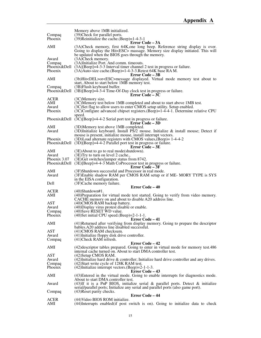|                    | Memory above 1MB initialized.                                                                                                                                           |
|--------------------|-------------------------------------------------------------------------------------------------------------------------------------------------------------------------|
| Compaq<br>Phoenix  | (39) Check for parallel ports.<br>$(39)$ Reinitialize the cache. (Beep)=1-4-3-1                                                                                         |
|                    | Error Code – 3A                                                                                                                                                         |
| AMI                | (3A)Check memory, first 64K, one long beep. Reference string display is over.<br>Going to display the Hit <esc> massage. Memory size display initiated. This will</esc> |
|                    | be updated when the BIOS goes through the memory.                                                                                                                       |
| Award<br>Compaq    | (3A)Check memory.<br>(3A)Initialize Port. And comm. timeouts.                                                                                                           |
|                    | Phoenix & Dell $(3A)[Beep]=4-3-3$ Interval timer channel 2 test in progress or failure.                                                                                 |
| Phoenix            | (3A) Auto-size cache. (Beep) = 1-4-3-3. Retest 64K base RAM.<br><b>Error Code – 3B</b>                                                                                  |
| AMI                | (3b)Hit <del>or<esc>message displayed. Virtual mode memory test about to<br/>start, About to start below 1MB memory test.</esc></del>                                   |
| Compaq             | (3B) Flush keyboard buffer.                                                                                                                                             |
|                    | Phoenix&Dell (3B)[Beep]=4-3-4 Time-Of-Day clock test in progress or failure.<br>Error Code $-3\overline{C}$                                                             |
| <b>ACER</b>        | (3C)Memory size.                                                                                                                                                        |
| AMI                | (3C)Memory test below 1MB completed and about to start above 1MB test.                                                                                                  |
| Award              | (3C)Set flag to allow users to enter CMOS setup utility. Setup enabled.                                                                                                 |
| Phoenix            | $(3C)$ Configure advanced chipset registers. (Beep)=1-4-4-1. Determine relative CPU                                                                                     |
|                    | speed.<br>Phoenix&Dell (3C)[Beep]=4-4-2 Serial port test in progress or failure.                                                                                        |
|                    | <b>Error Code – 3D</b>                                                                                                                                                  |
| AMI                | (3D)Memory test above 1MB completed.                                                                                                                                    |
| Award              | (3D)Initialize keyboard. Install $\overline{PS}/2$ mouse. Initialize & install mouse; Detect if                                                                         |
|                    | mouse is present, initialize mouse, install interrupt vectors.                                                                                                          |
| Phoenix            | $(3D)$ Load alternate registers with CMOS values, $(Beep)=1-4-4-2$<br>Phoenix & Dell $(3D)$ [Beep] = 4-4-2 Parallel port test in progress or failure.                   |
|                    | Error Code – 3E                                                                                                                                                         |
| AMI                | $(3E)$ About to go to real mode(shutdown).                                                                                                                              |
| Award              | (3E) Try to turn on level 2 cache.,                                                                                                                                     |
| Phoenix 3.07       | (3E) Get switches/jumper status from 8742.                                                                                                                              |
| Phoenix&Dell       | (3E)[Beep]=4-4-3 Math CoProcessor test in progress or failure.<br>Error Code - 3F                                                                                       |
|                    |                                                                                                                                                                         |
|                    |                                                                                                                                                                         |
| AMI<br>Award       | (3F)Shutdown successful and Processor in real mode.                                                                                                                     |
|                    | (3F)Enable shadow RAM per CMOS RAM setup or if ME-MORY TYPE is SYS<br>in the EISA configuration.                                                                        |
| Dell               | (3F)Cache memory failure.                                                                                                                                               |
|                    | <b>Error Code – 40</b>                                                                                                                                                  |
| <b>ACER</b><br>AMI | $(40)$ Shutdown#1.                                                                                                                                                      |
|                    | (40) Preparation for virtual mode test started. Going to verify from video memory.<br>CACHE memory on and about to disable A20 address line.                            |
| <b>AST</b>         | (40) CMOS RAM backup battery.                                                                                                                                           |
| Award              | (40) Display virus protest disable or enable.                                                                                                                           |
| Compaq             | (40) Save RESET WD value.                                                                                                                                               |
| Phoenix            | $(40)$ Set initial CPU speed. $(Beep) = 2-1-1-1$ .                                                                                                                      |
| AMI                | Error Code – 41<br>(41) Returned after verifying from display memory. Going to prepare the descriptor                                                                   |
|                    | bables.A20 address line disabled successful.                                                                                                                            |
| AST                | (41)CMOS RAM checksum.                                                                                                                                                  |
| Award              | (41) Initialize floppy disk drive controller.                                                                                                                           |
| Compaq             | (41) Check RAM refresh.                                                                                                                                                 |
| AMI                | Error Code – 42                                                                                                                                                         |
|                    | (42) descriptor tables prepared. Going to enter in virtual mode for memory test. 486<br>internal cache turned on. About to start DMA controller test.                   |
| <b>AST</b>         | (42) Setup CMOS RAM.                                                                                                                                                    |
| Award              | $(42)$ Initialize hard drive & controller; Initialize hard drive controller and any drives.                                                                             |
| Compaq             | (42) Start write cycle of 128K RAM test.                                                                                                                                |
| Phoenix            | $(42)$ Initialize interrupt vectors. (Beep)=2-1-1-3.<br>Error Code – 43                                                                                                 |
| AMI                | (43) Entered in the virtual mode. Going to enable interrupts for diagnostics mode.                                                                                      |
|                    | About to start DMA controller test.                                                                                                                                     |
| Award              | $(43)$ If it is a PnP BIOS, initialize serial & parallel ports. Detect & initialize                                                                                     |
|                    | serial/parallel ports; Initialize any serial and parallel ports (also game port).                                                                                       |
| Compaq             | (43) Reset parity checks.<br><b>Error Code – 44</b>                                                                                                                     |
| <b>ACER</b><br>AMI | (44) Video BIOS ROM initialize.<br>(44) Interrupts enabled (if post switch is on). Going to initialize data to check                                                    |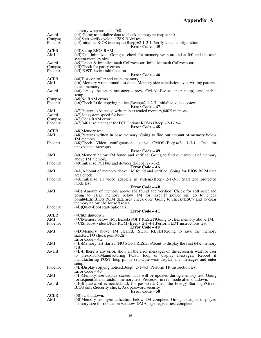| Award              | memory wrap around at 0:0.<br>(44) Going to initialize data to check memory re-map at 0:0.                                                                       |
|--------------------|------------------------------------------------------------------------------------------------------------------------------------------------------------------|
| Compaq             | (44) Start verify cycle if 128K RAM test.                                                                                                                        |
| Phoenix            | $(44)$ Initialize BIOS interrupts. (Beep)=2-1-2-1. Verify video configuration.<br><b>Error Code – 45</b>                                                         |
| <b>ACER</b>        | $(45)$ Set up BIOS RAM.                                                                                                                                          |
| AMI                | $(45)$ Data initialized. Going to check for memory wrap around at 0:0 and the total                                                                              |
|                    | system memory size.<br>$(45)$ Detect & Initialize math CoProcessor; Initialize math CoProcessor.                                                                 |
| Award<br>Compaq    | (45) Check for parity errors.                                                                                                                                    |
| Phoenix            | $(45)$ POST device initialization.                                                                                                                               |
|                    | Error Code – 46                                                                                                                                                  |
| <b>ACER</b><br>AMI | (46) Test controller and cache memory.<br>$(46)$ Memory wrap around test done. Memory size calculation over, writing patterns                                    |
|                    | to test memory.                                                                                                                                                  |
| Award              | (46) display the setup message (to press Ctrl-Alt-Esc to enter setup), and enable                                                                                |
| Compaq             | setup.<br>$(46)$ No RAM errors.                                                                                                                                  |
| Phoenix            | $(46)$ Check ROM copying notice. $(Beep)=2-1-2-3$ . Initialize video system.                                                                                     |
|                    | <b>Error Code – 47</b>                                                                                                                                           |
| AMI<br>Award       | $(47)$ Pattern to be tested written in extended memory, 640K memory.<br>(47) Set system speed for boot.                                                          |
| Compaq             | (47) Got a RAM error.                                                                                                                                            |
| Phoenix            | $(47)$ Initialize manager for PCI Options ROMs. (Beep)=2-1-2-4.                                                                                                  |
|                    | Error Code - 48                                                                                                                                                  |
| <b>ACER</b><br>AMI | (48) Memory test.<br>(48) Patterns written in base memory. Going to find out amount of memory below                                                              |
|                    | 1M memory.                                                                                                                                                       |
| Phoenix            | (48) Check Video configuration against CMOS. (Beep) = 2- 1-3-1. Test for                                                                                         |
|                    | unexpected interrupts.<br>Error Code - 49                                                                                                                        |
| AMI                | (49) Memory below 1M found and verified. Going to find out amount of memory                                                                                      |
|                    | above 1M memory.                                                                                                                                                 |
| Phoenix            | $(49)$ Initialize PCI bus and devices. $(Beep) = 2-1-3-2$ .                                                                                                      |
| AMI                | Error Code – 4A<br>(4A) Amount of memory above 1M found and verified. Going for BIOS ROM data                                                                    |
|                    | area check.                                                                                                                                                      |
| Phoenix            | (4A)Initialize all video adapters in system. (Beep)=2-1-3-3. Start 2nd protected<br>mode test.                                                                   |
|                    | <b>Error Code – 4B</b>                                                                                                                                           |
| AMI                | (4B) Amount of memory above 1M found and verified. Check for soft reset and                                                                                      |
|                    | going to clear memory below 1M for reset. (If power on, go to check                                                                                              |
|                    | point#4Eh).BIOS ROM data area check over. Going to check <esc> and to clear</esc>                                                                                |
| Phoenix            | memory below 1M for soft reset.<br>(4B)Quiet-Boot start(optional).                                                                                               |
|                    | Error Code – 4C                                                                                                                                                  |
| <b>ACER</b>        | $(4C)$ #3 shutdown.                                                                                                                                              |
| AMI                | (4C)Memory below 1M cleared.(SOFT RESET)Going to clear memory above 1M.                                                                                          |
| Phoenix            | (4C)Shadow video BIOS ROM.(Beep)=2-1-4-1.Perform LDT instructions test.<br>Error Code – 4D                                                                       |
| AMI                | (4D)Memory above 1M cleared. (SOFT RESET)Going to save the memory                                                                                                |
|                    | size.(GOTO check point#52h)                                                                                                                                      |
| AMI                | Error Code $-4E$<br>(4E)Memory test started.(NO SOFT RESET)About to display the first 64K memory                                                                 |
|                    | test.                                                                                                                                                            |
| Award              | (4E)If there is any error, show all the error messages on the screen $\&$ wait for user                                                                          |
|                    | to press <f1>.Manufacturing POST loop or display messages; Reboot if</f1>                                                                                        |
|                    | manufacturing POST loop pin is set. Otherwise display any messages and enter<br>setup.                                                                           |
| Phoenix            | $(4E)$ Display copying notice. $(Beep) = 2-1-4-3$ . Perform TR instruction test.                                                                                 |
|                    | Error Code – 4F                                                                                                                                                  |
| AMI                | (4F)Memory size display started. This will be updated during memory test. Going<br>for sequential and random memory test. Processor in real mode after shutdown. |
| Award              | (4F)If password is needed, ask for password. Clear the Energy Star logo(Green                                                                                    |
|                    | BIOS only). Security check; Ask password security.                                                                                                               |
|                    | <b>Error Code – 50</b>                                                                                                                                           |
| <b>ACER</b><br>AMI | $(50)$ #2 shutdown.<br>(50)Memory testing/initialization below 1M complete. Going to adjust displayed                                                            |
|                    | memory size for relocation /shadow. DMA page register test complete.                                                                                             |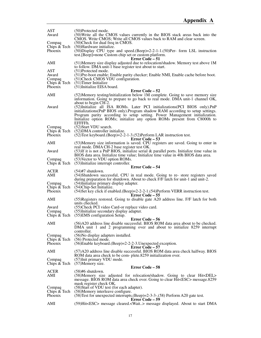| AST<br>Award                                  | (50)Protected mode.<br>(50) Write all the CMOS values currently in the BIOS stack areas back into the                                                                                                                                                                                                                                  |
|-----------------------------------------------|----------------------------------------------------------------------------------------------------------------------------------------------------------------------------------------------------------------------------------------------------------------------------------------------------------------------------------------|
| Compaq                                        | CMOS. Write CMOS; Write all CMOS values back to RAM and clear screen.<br>(50) Check for dual freq in CMOS.                                                                                                                                                                                                                             |
| Chips & Tech<br>Phoenix                       | (50) Hardware initialize.<br>$(50)$ Display CPU type and speed. $(Beep) = 2-2-1-1.50$ )Per- form LSL instruction<br>test. [Beep]=none Custom chip set or custom platform.                                                                                                                                                              |
| AMI                                           | Error Code – 51<br>(51) Memory size display adjusted due to relocation/shadow. Memory test above 1M                                                                                                                                                                                                                                    |
|                                               | to follow. DMA unit-1 base register test about to start.                                                                                                                                                                                                                                                                               |
| <b>AST</b><br>Award<br>Compaq<br>Chips & Tech | $(51)$ Protected mode.<br>(51) Pre-boot enable; Enable parity checker; Enable NMI, Enable cache before boot.<br>(51) Check CMOS VDU configuration.<br>$(51)$ Timer Initialize                                                                                                                                                          |
| Phoenix                                       | (51) Initialize EISA board.<br>Error Code – 52                                                                                                                                                                                                                                                                                         |
| AMI                                           | (52) Memory testing/initialization below 1M complete. Going to save memory size<br>information. Going to prepare to go back to real mode. DMA unit-1 channel OK,<br>about to begin CH-2.                                                                                                                                               |
| Award                                         | (52) Initialize all ISA ROMs. Later PCI initializations (PCI BIOS only). PnP<br>initializations(PnP BIOS only). Program shadow RAM according to setup settings.<br>Program parity according to setup setting. Power Management initialization.<br>Initialize option ROMs; initialize any option ROMs present from C8000h to<br>EFFFFh. |
| Compaq                                        | (52) Start VDU search.<br>Chips $& \text{Techn } (52)$ DMA controller initialize.                                                                                                                                                                                                                                                      |
| <b>Phoenix</b>                                | $(52)$ Test keyboard.(Beep)=2-2-1-3.(52)Perform LAR instruction test.<br>Error Code – 53                                                                                                                                                                                                                                               |
| AMI                                           | (53) Memory size information is saved. CPU registers are saved. Going to enter in                                                                                                                                                                                                                                                      |
| Award                                         | real mode. DMA CH-2 base register test OK.<br>$(53)$ If it is not a PnP BIOS, initialize serial & parallel ports. Initialize time value in<br>BIOS data area. Initialize time value; Initialize time value in 40h BIOS data area.                                                                                                      |
| Compaq                                        | (53) Vector to VDU option ROMs.<br>Chips $& \text{Techn. } (53)$ Initialize interrupt controller.                                                                                                                                                                                                                                      |
| <b>ACER</b>                                   | Error Code – 54<br>$(54)$ #7 shutdown.                                                                                                                                                                                                                                                                                                 |
| AMI                                           | (54) Shutdown successful, CPU in real mode. Going to re- store registers saved<br>during preparation for shutdown. About to check F/F latch for unit-1 and unit-2.                                                                                                                                                                     |
| Compaq<br>Chips $\&$ Tech                     | (54) Initialize primary display adapter.<br>(54) Chip-Set Initialize.                                                                                                                                                                                                                                                                  |
| Phoenix<br>AMI                                | (54) Set key click if enabled. (Beep) = 2-2-2-1. (54) Perform VERR instruction test.<br>Error Code – 55<br>(55) Registers restored. Going to disable gate A20 address line. F/F latch for both                                                                                                                                         |
|                                               | units checked.                                                                                                                                                                                                                                                                                                                         |
| Award<br>Compaq                               | (55) Check PCI video Card-or replace video card.<br>(55) Initialize secondary display adapter.<br>Chips $& \text{Techn. } (55)$ EMS configuration Setup.                                                                                                                                                                               |
| AMI                                           | Error Code – 56<br>(56)A20 address line disable successful. BIOS ROM data area about to be checked.                                                                                                                                                                                                                                    |
|                                               | DMA unit 1 and 2 programming over and about to initialize 8259 interrupt<br>controller.                                                                                                                                                                                                                                                |
| Compaq<br>Chips & Tech<br>Phoenix             | (56) No display adapters installed.<br>(56) Protected mode.<br>(56) Enable keyboard. (Beep) = 2-2-2-3. Unexpected exception.                                                                                                                                                                                                           |
|                                               | Error Code - 57                                                                                                                                                                                                                                                                                                                        |
| AMI                                           | (57)A20 address line disable successful. BIOS ROM data area check halfway. BIOS<br>ROM data area check to be com- plete.8259 initialization over.                                                                                                                                                                                      |
| Compaq<br>Chips & Tech                        | (57) Init primary VDU mode.<br>$(57)$ Memory size.                                                                                                                                                                                                                                                                                     |
|                                               | <b>Error Code – 58</b>                                                                                                                                                                                                                                                                                                                 |
| ACER<br>AMI                                   | $(58)$ #6 shutdown.<br>(58) Memory size adjusted for relocation/shadow. Going to clear Hit <del><br/>message. BIOS ROM data area check over. Going to clear Hit<esc> message.8259</esc></del>                                                                                                                                          |
| Compaq                                        | mask register check OK.<br>(58) Start of VDU test (for each adapter).                                                                                                                                                                                                                                                                  |
| Chips & Tech<br>Phoenix                       | (58) Memory interleave configure.<br>(58) Test for unexpected interrupts. (Beep)=2-3-3-. (58) Perform A20 gate test.                                                                                                                                                                                                                   |
| AMI                                           | Error Code - 59<br>(59)Hit <esc> message cleared.<wait> message displayed. About to start DMA</wait></esc>                                                                                                                                                                                                                             |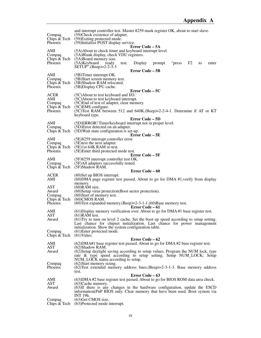| Compaq<br>Chips & Tech<br>Phoenix | and interrupt controller test. Master 8259 mask register OK, about to start slave.<br>(59) Check existence of adapter.<br>(59) Exiting protected mode.<br>(59) Initialize POST display service.<br>Error Code – 5A |
|-----------------------------------|--------------------------------------------------------------------------------------------------------------------------------------------------------------------------------------------------------------------|
| AMI<br>Compaq<br>Chips & Tech     | (5A) About to check timer and keyboard interrupt level.<br>(5A)Blank display, check VDU registers.<br>(5A)Board memory size.                                                                                       |
| Phoenix                           | $(5A)$ Keyboard ready<br>F <sub>2</sub><br>Display<br>prompt<br>"press<br>test.<br>to<br>enter<br>$SETUP''$ . (Beep)=2-2-3-3                                                                                       |
| AMI                               | Error Code – 5B<br>$(5B)$ Timer interrupt OK.                                                                                                                                                                      |
| Compaq<br>Phoenix                 | (5B)Start screen memory test.<br>Chips & Tech (5B)Shadow RAM relocated.<br>(5B) Display CPU cache.                                                                                                                 |
| <b>ACER</b>                       | Error Code – 5C<br>$(5C)$ About to test keyboard and I/O.                                                                                                                                                          |
| AMI                               | (5C) About to test keyboard interrupt.                                                                                                                                                                             |
| Compaq                            | (5C) End of test of adapter, clear memory.                                                                                                                                                                         |
| Chips & Tech<br>Phoenix           | (5C)EMS configure.<br>$(5C)$ Test RAM between 512 and 640K.(Beep)=2-2-4-1. Determine if AT or KT<br>keyboard type.                                                                                                 |
|                                   | Error Code – 5D                                                                                                                                                                                                    |
| AMI                               | (5D)ERROR! Timer/keyboard interrupt not in proper level.                                                                                                                                                           |
| Compaq                            | (5D) Error detected on an adapter.<br>Chips $& \text{Techn. } (5D)$ Wait state configuration is set-up.<br>Error Code – 5E                                                                                         |
| AMI                               | (5E)8259 interrupt controller error.                                                                                                                                                                               |
| Compaq                            | (5E) test the next adapter.<br>Chips $& \text{Techn } (5E)1st 64K RAM re-test.$                                                                                                                                    |
| <b>Phoenix</b>                    | (5E)Enter third protected mode test.                                                                                                                                                                               |
|                                   | <b>Error Code – 5F</b>                                                                                                                                                                                             |
| AMI<br>Compaq                     | $(5F)8259$ interrupt controller test OK.<br>(5F)All adapters successfully tested.<br>Chips $& \text{Techn } (5F) \text{Shadow RAM}.$                                                                               |
|                                   |                                                                                                                                                                                                                    |
|                                   | <b>Error Code – 60</b>                                                                                                                                                                                             |
| <b>ACER</b><br>AMI                | $(60)$ Set up BIOS interrupt.<br>(60) DMA page register test passed. About to go for DMA #1, verify from display                                                                                                   |
| <b>AST</b>                        | memory.<br>$(60)$ RAM size.                                                                                                                                                                                        |
| Award                             | (60) Setup virus protection (Boot sector protection).                                                                                                                                                              |
| Compaq                            | (60) Start of memory test.                                                                                                                                                                                         |
| Chips & Tech<br>Phoenix           | $(60)$ CMOS RAM.                                                                                                                                                                                                   |
|                                   | $(60)$ Test expanded memory.(Beep)=2-3-1-1.(60)Base memory test.<br>Error Code – 61                                                                                                                                |
| AMI                               | $(61)$ Display memory verification over. About to go for DMA #1 base register test.                                                                                                                                |
| AST                               | $(61)$ RAM test.                                                                                                                                                                                                   |
| Award                             | (61) Try to turn on level 2 cache. Set the boot up speed according to setup setting.<br>Last chance for chipset initialization. Last chance for power management                                                   |
| Compaq                            | initialization. Show the system configuration table.<br>(61) Enter protected mode.                                                                                                                                 |
| Chips & Tech                      | $(61)$ Video.                                                                                                                                                                                                      |
|                                   | Error Code - 62                                                                                                                                                                                                    |
| AMI<br>AST                        | (62) DMA#1 base register test passed. About to go for DMA#2 base register test.<br>(62)Shadow RAM.                                                                                                                 |
| Award                             | (62) Setup daylight saving according to setup values. Program the NUM lock, type                                                                                                                                   |
|                                   | rate & type speed according to setup setting. Setup NUM_LOCK; Setup                                                                                                                                                |
|                                   | NUM_LOCK status according to setup.                                                                                                                                                                                |
| Compaq<br>Phoenix                 | (62) Start memory sizing.<br>$(62)$ Test extended memory address lines. (Beep)=2-3-1-3. Base memory address                                                                                                        |
|                                   | test.                                                                                                                                                                                                              |
| AMI                               | Error Code – 63                                                                                                                                                                                                    |
| AST                               | (63) DMA #2 base register test passed. About to go for BIOS ROM data area check.<br>$(63)$ Cache memory.                                                                                                           |
| Award                             | $(63)$ If there is any changes in the hardware configuration, update the ESCD<br>information (PnP BIOS only. Clear memory that have been used. Boot system via                                                     |
| Compaq                            | INT 19h.<br>(63) Get CMOS size.<br>(63)Protected mode interrupt.                                                                                                                                                   |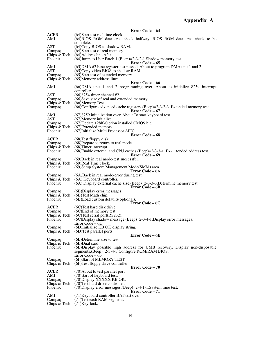|                                         | Error Code – 64                                                                                                                                                                                                      |
|-----------------------------------------|----------------------------------------------------------------------------------------------------------------------------------------------------------------------------------------------------------------------|
| <b>ACER</b><br>AMI                      | (64) Start test real time clock.<br>(64) BIOS ROM data area check halfway. BIOS ROM data area check to be<br>complete.                                                                                               |
| AST<br>Compaq<br>Chips & Tech           | (64) Copy BIOS to shadow RAM.<br>$(64)$ Start test of real memory.<br>$(64)$ Address line A20.                                                                                                                       |
| Phoenix                                 | (64) Jump to User Patch 1. (Beep) = 2-3-2-1. Shadow memory test.<br>Error Code – 65                                                                                                                                  |
| AMI<br><b>AST</b><br>Compaq             | (65) DMA #2 base register test passed. About to program DMA unit 1 and 2.<br>$(65)$ Copy video BIOS to shadow RAM.<br>(65) Start test of extended memory.<br>Chips $& \text{Techn} \quad (65)$ Memory address lines. |
|                                         | Error Code – 66                                                                                                                                                                                                      |
| AMI                                     | (66) DMA unit 1 and 2 programming over. About to initialize 8259 interrupt<br>controller.                                                                                                                            |
| AST<br>Compaq<br>Chips & Tech<br>Compaq | (66) 8254 timer channel #2.<br>(66)Save size of real and extended memory.<br>(66) Memory Test.<br>(66)Configure advanced cache registers. (Beep)=2-3-2-3. Extended memory test.                                      |
| AMI                                     | <b>Error Code – 67</b><br>(67)8259 initialization over. About To start keyboard test.                                                                                                                                |
| <b>AST</b>                              | (67) Memory initialize.                                                                                                                                                                                              |
| Compaq<br>Chips & Tech                  | (67) Update 128K-Option installed CMOS bit.<br>(67) Extended memory.                                                                                                                                                 |
| Phoenix                                 | (67) Initialize Multi Processor APIC.                                                                                                                                                                                |
| <b>ACER</b>                             | <b>Error Code – 68</b><br>$(68)$ Test floppy disk.                                                                                                                                                                   |
| Compaq                                  | (68) Prepare to return to real mode.                                                                                                                                                                                 |
| Chips & Tech<br>Phoenix                 | $(68)$ Timer interrupt.<br>(68) Enable external and CPU caches. (Beep) = 2-3-3-1. Ex- tended address test.<br>Error Code – 69                                                                                        |
| Compaq                                  | (69) Back in real mode-test successful.                                                                                                                                                                              |
| Phoenix                                 | Chips $& \text{Techn } (69)$ Real Time clock.<br>(69) Setup System Management Mode(SMM) area.<br>Error Code – 6A                                                                                                     |
| Compaq                                  | (6A) Back in real mode-error during test.                                                                                                                                                                            |
| Chips & Tech<br>Phoenix                 | (6A) Keyboard controller.<br>$(6A)$ Display external cache size. (Beep)=2-3-3-3. Determine memory test.<br>Error Code – 6B                                                                                           |
| Compaq                                  | (6B) Display error messages.                                                                                                                                                                                         |
| Chips & Tech<br>Phoenix                 | (6B) Test Math chip.<br>(6B) Load custom defaults (optional).<br>Error Code – 6C                                                                                                                                     |
| ACER                                    | (6C) Test hard disk drive.                                                                                                                                                                                           |
| Compaq<br>Chips & Tech                  | (6C) End of memory test.<br>$(6C)$ Test serial port $(RS232)$ .                                                                                                                                                      |
| Phoenix                                 | (6C)Display shadow message.(Beep)=2-3-4-1.Display error messages.<br>Error Code – 6D                                                                                                                                 |
| Compaq                                  | (6D)Initialize KB OK display string.                                                                                                                                                                                 |
| Chips & Tech                            | (6D) Test parallel ports.<br>Error Code – 6E                                                                                                                                                                         |
| Compaq                                  | (6E)Determine size to test.                                                                                                                                                                                          |
| Chips & Tech<br>Phoenix                 | $(6E)$ Dual card.<br>(6E) Display possible high address for UMB recovery. Display non-disposable<br>segments.(Beep)=2-3-4-3.Configure ROM/RAM BIOS.                                                                  |
| Compaq<br>Chips $\&$ Tech               | Error Code – 6F<br>(6F)Start of MEMORY TEST.<br>(6F) Test floppy drive controller.                                                                                                                                   |
| <b>ACER</b>                             | Error Code - 70                                                                                                                                                                                                      |
| AMI                                     | (70) About to test parallel port.<br>(70) start of keyboard test.                                                                                                                                                    |
| Compaq                                  | (70) Display XXXXX KB OK.<br>(70) Test hard drive controller.                                                                                                                                                        |
| Chips & Tech<br>Phoenix                 | $(70)$ Display error messages. $(Beep)=2-4-1-1$ . System time test.                                                                                                                                                  |
| AMI                                     | <b>Error Code – 71</b><br>(71) Keyboard controller BAT test over.                                                                                                                                                    |
| Compaq                                  | (71) Test each RAM segment.                                                                                                                                                                                          |
| Chips & Tech                            | $(71)$ Key-lock.                                                                                                                                                                                                     |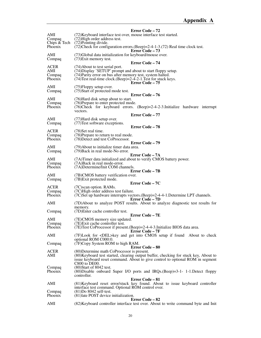|                               | Error Code - 72                                                                                                                                          |
|-------------------------------|----------------------------------------------------------------------------------------------------------------------------------------------------------|
| AMI<br>Compaq<br>Chips & Tech | (72) Keyboard interface test over, mouse interface test started.<br>(72) High order address test.<br>(72) Pointing divide.                               |
| Phoenix                       | $(72)$ Check for configuration errors. (Beep)=2-4-1-3. (72) Real time clock test.<br><b>Error Code – 73</b>                                              |
| AMI<br>Compaq                 | (73) Global data initialization for keyboard/mouse over.<br>(73) Exit memory test.                                                                       |
| ACER<br>AMI                   | <b>Error Code – 74</b><br>(74) About to test serial port.<br>(74) Display 'SETUP' prompt and about to start floppy setup.                                |
| Compaq<br>Phoenix             | (74) Parity error on bus after memory test, system halted.<br>$(74)$ Test real-time clock.(Beep)=2-4-2-1. Test for stuck keys.<br><b>Error Code – 75</b> |
| AMI<br>Compaq                 | $(75)$ Floppy setup over.<br>(75) Start of protected mode test.                                                                                          |
| AMI                           | Error Code - 76<br>(76) Hard disk setup about to start.                                                                                                  |
| Compaq<br>Phoenix             | (76) Prepare to enter protected mode.<br>$(76)$ Check for keyboard errors. $(Beep)=2-4-2-3$ . Initialize hardware interrupt<br>vectors.                  |
|                               | Error Code - 77                                                                                                                                          |
| AMI                           | (77) Hard disk setup over.                                                                                                                               |
| Compaq                        | (77) Test software exceptions.                                                                                                                           |
| <b>ACER</b>                   | <b>Error Code – 78</b><br>(78) Set real time.                                                                                                            |
| Compaq                        | (78) Prepare to return to real mode.                                                                                                                     |
| Phoenix                       | (78) Detect and test CoProcessor.                                                                                                                        |
|                               | <b>Error Code – 79</b>                                                                                                                                   |
| AMI<br>Compaq                 | (79) About to initialize timer data area.<br>(79) Back in real mode-No error.                                                                            |
| AMI                           | Error Code – 7A<br>(7A) Timer data initialized and about to verify CMOS battery power.                                                                   |
| Compaq                        | (7A)Back in real mode-error.                                                                                                                             |
| Phoenix                       | (7A) Determine/Init COM channels.                                                                                                                        |
|                               | <b>Error Code – 7B</b>                                                                                                                                   |
| AMI                           | (7B)CMOS battery verification over.                                                                                                                      |
| Compaq                        | (7B) Exit protected mode.                                                                                                                                |
|                               | Error Code – 7C                                                                                                                                          |
| <b>ACER</b>                   | (7C) scan option. RAMs.                                                                                                                                  |
| Compaq<br>Phoenix             | (7C) High order address test failure.<br>(7C)Set up hardware interrupts vectors. (Beep)=2-4-4-1. Determine LPT channels.                                 |
|                               | <b>Error Code – 7D</b>                                                                                                                                   |
| AMI                           | (7D) About to analyze POST results. About to analyze diagnostic test results for                                                                         |
|                               | memory.                                                                                                                                                  |
| Compaq                        | (7D) Enter cache controller test.<br><b>Error Code – 7E</b>                                                                                              |
| AMI                           | (7E)CMOS memory size updated.                                                                                                                            |
| Compaq                        | (7E) Exit cache controller test.                                                                                                                         |
| Phoenix                       | (7E) Test CoProcessor if present. (Beep) = 2-4-4-3. Initialize BIOS data area.<br>Error Code - 7F                                                        |
| AMI                           | (7F)Look for <del>key and get into CMOS setup if found About to check<br/>optional ROM C000:0.</del>                                                     |
| Compaq                        | (7F)Copy System ROM to high RAM.<br><b>Error Code – 80</b>                                                                                               |
| ACER<br>AMI                   | (80) Determine math CoProcessor is present.<br>(80) Keyboard test started, clearing output buffer, checking for stuck key, About to                      |
|                               | issue keyboard reset command. About to give control to optional ROM in segment<br>$C800$ to $DE00$ .                                                     |
| Compaq                        | $(80)$ Start of 8042 test.                                                                                                                               |
| Phoenix                       | $(80)$ Disable onboard Super I/O ports and IRQs.(Beep)=3-1- 1-1.Detect floppy<br>controller.                                                             |
|                               | <b>Error Code – 81</b>                                                                                                                                   |
| AMI                           | (81) Keyboard reset error/stuck key found. About to issue keyboard controller                                                                            |
|                               | interface test command. Optional ROM control over.                                                                                                       |
| Compaq<br>Phoenix             | $(81)$ Do 8042 self-test.<br>(81) late POST device initialization.                                                                                       |
| AMI                           | Error Code – 82<br>(82) Keyboard controller interface test over. About to write command byte and Init                                                    |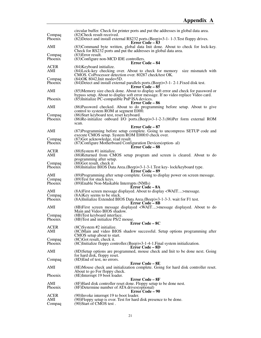| Compaq             | circular buffer. Check for printer ports and put the addresses in global data area.<br>(82) Check result received.                                                       |
|--------------------|--------------------------------------------------------------------------------------------------------------------------------------------------------------------------|
| Phoenix            | (82) Detect and install external RS232 ports. (Beep)=3-1-1-3. Test floppy drives.<br><b>Error Code – 83</b>                                                              |
| AMI                | (83) Command byte written, global data Init done. About to check for lock-key.<br>Check for RS232 ports and put the addresses in global data area.                       |
| Compaq<br>Phoenix  | $(83)$ Error result.<br>(83) Configure non-MCD IDE controllers.                                                                                                          |
| ACER               | <b>Error Code – 84</b><br>(84) Keyboard initialize.                                                                                                                      |
| AMI                | (84) Lock-key checking over. About to check for memory size mismatch with<br>CMOS. CoProcessor detection over. 80287 check/test OK.                                      |
| Compaq<br>Phoenix  | (84) OK 8042, Init mode=5D.<br>$(84)$ Detect and install external parallels ports. $(Beep)=3-1-2-1$ . Fixed disk test.<br>Error Code – 85                                |
| AMI                | (85) Memory size check done. About to display soft error and check for password or<br>bypass setup. About to display soft error message. If no video replace Video card. |
| Phoenix            | (85) Initialize PC-compatible PnP ISA devices.<br>Error Code – 86                                                                                                        |
| AMI                | (86) Password checked. About to do programming before setup. About to give<br>control to system ROM at segment E000.                                                     |
| Compaq<br>Phoenix  | (86) Start keyboard test, reset keyboard.<br>(86)Re-initialize onboard I/O ports.(Beep)=3-1-2-3.(86)Per form external ROM<br>scan.                                       |
| AMI                | Error Code – 87<br>(87) Programming before setup complete. Going to uncompress SETUP code and                                                                            |
| Compaq             | execute CMOS setup. System ROM E000:0 check over.<br>(87) Got acknowledge, read result.                                                                                  |
| Phoenix            | (87) Configure Motherboard Configuration Devices (option-al)<br>Error Code - 88                                                                                          |
| <b>ACER</b><br>AMI | $(88)$ System #1 initialize.<br>(88) Returned from CMOS setup program and screen is cleared. About to do                                                                 |
| Compaq             | programming after setup.<br>$(88)$ Got result, check it                                                                                                                  |
| Phoenix            | (88) Initialize BIOS Data Area. (Beep)=3-1-3-1. Test key-lock/keyboard type.<br><b>Error Code – 89</b>                                                                   |
| AMI<br>Compaq      | (89) Programming after setup complete. Going to display power on screen message.<br>(89) Test for stuck keys.                                                            |
| Phoenix            | (89) Enable Non-Maskable Interrupts (NMIs)<br>Error Code – 8A                                                                                                            |
| AMI                | (8A) First screen message displayed. About to display <wait>message.</wait>                                                                                              |
| Compaq<br>Phoenix  | (8A) Key seems to be stuck.<br>(8A)Initialize Extended BIOS Data Area.(Beep)=3-1-3-3. wait for F1 test.                                                                  |
|                    | <b>Error Code – 8B</b>                                                                                                                                                   |
| AMI                | (8B) First screen message displayed <wait>message displayed. About to do<br/>Main and Video BIOS shadow.</wait>                                                          |
| Compaq<br>Phoenix  | (8B) Test keyboard interface.<br>(8B) Test and initialize PS/2 mouse.                                                                                                    |
|                    | Error Code - 8C                                                                                                                                                          |
| <b>ACER</b><br>AMI | $(8C)$ System #2 initialize.<br>(8C) Main and video BIOS shadow successful. Setup options programming after<br>CMOS setup about to start.                                |
| Compaq             | $(8C)$ Got result, check it.                                                                                                                                             |
| Phoenix            | (8C)Initialize floppy controller. (Beep)=3-1-4-1. Final system initialization.<br><b>Error Code – 8D</b>                                                                 |
| AMI                | (8D) Setup options are programmed, mouse check and Init to be done next. Going<br>for hard disk, floppy reset.                                                           |
| Compaq             | $(8D)$ End of test, no errors.                                                                                                                                           |
| AMI                | Error Code – 8E<br>(8E) Mouse check and initialization complete. Going for hard disk controller reset.<br>About to go For floppy check.                                  |
| Phoenix            | (8E)Interrupt 19 boot loader.                                                                                                                                            |
| AMI                | Error Code – 8F<br>(8F) Hard disk controller reset done. Floppy setup to be done nest.                                                                                   |
| Phoenix            | (8F) Determine number of ATA drives (optional)<br><b>Error Code – 90</b>                                                                                                 |
| <b>ACER</b>        | (90) Invoke interrupt 19 to boot loader.                                                                                                                                 |
| AMI<br>Compaq      | (90) Floppy setup is over. Test for hard disk presence to be done.<br>(90) Start of CMOS test.                                                                           |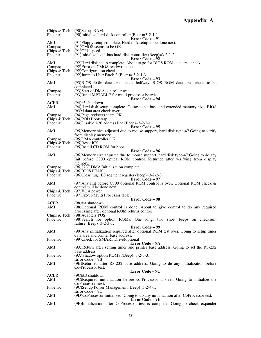| Phoenix                 | Chips $& \text{Techn } (90)$ Set-up RAM.<br>$(90)$ Initialize hard-disk controller. (Beep)=3-2-1-1              |
|-------------------------|-----------------------------------------------------------------------------------------------------------------|
| AMI                     | <b>Error Code – 91</b><br>(91) Floppy setup complete. Hard disk setup to be done next.                          |
| Compaq                  | $(91)$ CMOS seems to be OK.                                                                                     |
| Phoenix                 | Chips $& \text{Techn } (91)$ CPU speed.<br>$(91)$ Initialize local-bus hard-disk controller.(Beep)=3-2-1-2      |
|                         | <b>Error Code – 92</b>                                                                                          |
| AMI<br>Compaq           | (92) Hard disk setup complete. About to go for BIOS ROM data area check.<br>(92) Error on CMOS read/write test. |
| Chips & Tech            | (92) Configuration check.                                                                                       |
| Phoenix                 | (92) Jump to User Patch 2. (Beep) = $3-2-1-3$<br><b>Error Code – 93</b>                                         |
| AMI                     | (93)BIOS ROM data area check halfway. BIOS ROM data area check to be                                            |
| Compaq                  | completed.<br>(93) Start of DMA controller test.                                                                |
| Phoenix                 | (93) Build MPTABLE for multi processor boards.                                                                  |
|                         | Error Code – 94                                                                                                 |
| <b>ACER</b><br>AMI      | $(94)$ #5 shutdown.<br>(94) Hard disk setup complete. Going to set base and extended memory size. BIOS          |
|                         | ROM data area check over.                                                                                       |
| Compaq                  | (94) Page registers seem OK.                                                                                    |
| Chips & Tech<br>Phoenix | (94)POD Bootstrap.<br>$(94)$ Disable A20 address line. (Beep)=3-2-2-1                                           |
|                         | Error Code – 95                                                                                                 |
| AMI                     | (95) Memory size adjusted due to mouse support, hard disk type-47. Going to verify                              |
| Compaq                  | from display memory.<br>(95) DMA controller OK.                                                                 |
| Chips & Tech            | $(95)$ Reset ICS.                                                                                               |
| Phoenix                 | (95)Install CD ROM for boot.                                                                                    |
| AMI                     | <b>Error Code – 96</b><br>(96) Memory size adjusted due to mouse support, hard disk type-47. Going to do any    |
|                         | Init before C800 optical ROM control. Returned after verifying from display                                     |
|                         | memory.                                                                                                         |
| Compaq<br>Chips & Tech  | (96)8237 DMA Initialization complete.<br>$(96)$ BIOS PEAK.                                                      |
| <b>Phoenix</b>          | $(96)$ Clear huge ES segment register. $(Beep) = 3-2-2-3$ .                                                     |
| AMI                     | Error Code – 97<br>(97) Any Init before C800 optional ROM control is over. Optional ROM check $\&$              |
|                         | control will be done next.                                                                                      |
| Chips & Tech            | $(97)$ VGA power.                                                                                               |
| Phoenix                 | (97) Fix-up Multi Processor table.<br>Error Code - 98                                                           |
| <b>ACER</b>             | $(98)$ #A shutdown.                                                                                             |
| AMI                     | (98) Optional ROM control is done. About to give control to do any required                                     |
| Chips & Tech            | processing after optional ROM returns control.<br>(98) Adapters POS.                                            |
| Phoenix                 | (98) Search for option ROMs. One long, two short beeps on checksum                                              |
|                         | failure. (Beep)= $3-2-3-1$ .                                                                                    |
| AMI                     | <b>Error Code – 99</b><br>(99) Any initialization required after optional ROM test over. Going to setup timer   |
|                         | data area and printer base address.                                                                             |
| Phoenix                 | (99) Check for SMART Drive (optional).                                                                          |
| AMI                     | Error Code – 9A<br>(9A)Return after setting timer and printer base address. Going to set the RS-232             |
|                         | base address.                                                                                                   |
| Phoenix                 | (9A)Shadow option ROMS.(Beep)=3-2-3-3.<br>Error Code – 9B                                                       |
| AMI                     | (9B)Returned after RS-232 base address. Going to de any initialization before                                   |
|                         | Co-Processor test.                                                                                              |
| ACER                    | Error Code – 9C<br>$(9C)$ #B shutdown.                                                                          |
| AMI                     | (9C)Required initialization before co-Processor is over. Going to initialize the                                |
|                         | CoProcessor next.                                                                                               |
| Phoenix                 | (9C)Set up Power Management. (Beep)=3-2-4-1.<br>Error Code – 9D                                                 |
| AMI                     | (9D)CoProcessor initialized. Going to do any initialization after CoProcessor test.                             |
| AMI                     | Error Code – 9E<br>(9E)Initialization after CoProcessor test is complete. Going to check expander               |
|                         |                                                                                                                 |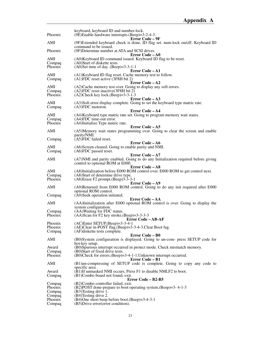| Phoenix           | keyboard, keyboard ID and number-lock.<br>(9E)Enable hardware interrupts.(Beep)=3-2-4-3.                              |
|-------------------|-----------------------------------------------------------------------------------------------------------------------|
|                   | <b>Error Code – 9F</b>                                                                                                |
| AMI               | (9F)Extended keyboard check is done, ID flag set. num-lock on/off. Keyboard ID<br>command to be issued.               |
| Phoenix           | (9F) Determine number at ATA and SCSI drives.<br>Error Code – A0                                                      |
| AMI               | (A0) Keyboard ID command issued. Keyboard ID flag to be reset.                                                        |
| Compaq<br>Phoenix | (A0)Start of diskette tests.<br>$(A0)$ Set time of day $(Beep)=3-3-1-1$                                               |
|                   | <b>Error Code – A1</b>                                                                                                |
| AMI<br>Compaq     | (A1) Keyboard ID flag reset. Cache memory test to follow.<br>$(A1)FDC$ reset active (3F8H bit 2)                      |
| AMI               | Error Code – A2<br>(A2) Cache memory test over. Going to display any soft errors.                                     |
| Compaq            | (A2)FDC reset inactive (3F8H bit 2)                                                                                   |
| Phoenix           | $(A2)$ Check key lock. $(Beep)=3-3-1-3$                                                                               |
| AMI               | <b>Error Code – A3</b><br>(A3)Soft error display complete. Going to set the keyboard type matric rate.                |
| Compaq            | $(A3)FDC$ motoron.                                                                                                    |
| AMI               | Error Code - A4<br>(A4) Keyboard type matric rate set. Going to program memory wait states.                           |
| Compaq            | (A4)FDC time-out error.                                                                                               |
| Phoenix           | (A4)Initialize Type matric rate.                                                                                      |
| AMI               | Error Code - A5<br>(A5)Memory wait states programming over. Going to clear the screen and enable                      |
|                   | parity/NMI.                                                                                                           |
| Compaq            | (A5)FDC failed reset.<br>Error Code – A6                                                                              |
| AMI               | (A6)Screen cleared. Going to enable parity and NMI.                                                                   |
| Compaq            | $(AG)FDC$ passed reset.                                                                                               |
| AMI               | <b>Error Code – A7</b><br>(A7) NMI and parity enabled. Going to do any Initialization required before giving          |
|                   | control to optional ROM at E000.                                                                                      |
| AMI               | Error Code – A8                                                                                                       |
| Compaq            | (A8)Initialization before E000 ROM control over. E000 ROM to get control next.<br>(A8) Start of determine drive type. |
| Phoenix           | $(A8)$ Erase F2 prompt. $(Beep)$ 3-3-3-1                                                                              |
| AMI               | <b>Error Code – A9</b><br>(A9)Returned from E000 ROM control. Going to do any init required after E000                |
|                   | optional ROM control.                                                                                                 |
| Compaq            | (A9) Seek operation initiated.                                                                                        |
| AMI               | <b>Error Code - AA</b><br>(AA)Initialization after E000 optional ROM control is over. Going to display the            |
|                   | system configuration.                                                                                                 |
| Compaq<br>Phoenix | (AA) Waiting for FDC status.                                                                                          |
|                   | $(AA)$ Scan for F2 key stroke. $(Beep)=3-3-3-3$<br>Error Code – AB-AF                                                 |
| Phoenix           | $(AC)$ Enter SETUP. $(Beep) = 3-3-4-1$                                                                                |
| Phoenix<br>Compaq | (AE)Clear in-POST flag.(Beep)=3-3-4-3.Clear Boot fag.<br>(AF) diskette tests complete.                                |
|                   | <b>Error Code – B0</b>                                                                                                |
| AMI               | (B0)System configuration is displayed. Going to un-com- press SETUP code for<br>hot-key setup.                        |
| Award             | (B0)Spurious interrupt occurred in protect mode. Check mismatch memory.                                               |
| Compaq<br>Phoenix | (B0) Start of fixed drive tests.<br>(B0)Check for errors. (Beep)=3-4-1-1. Unknown interrupt occurred.                 |
|                   | Error Code – B1                                                                                                       |
| AMI               | (B1)un-compressing of SETUP code is complete. Going to copy any code to                                               |
| Award             | specific area.<br>(B1)If unmasked NMI occurs, Press F1 to disable NMI, F2 to boot.                                    |
| Compaq            | (B1)Combo board not found, exit.                                                                                      |
|                   | Error Code – B2-B5<br>(B2)Combo controller failed, exit.                                                              |
| Compaq<br>Phoenix | (B2)POST done-prepare to boot operating system. (Beep)=3-4-1-3                                                        |
| Compaq            | (B3) Testing drive 1.                                                                                                 |
| Compaq<br>Phoenix | (B4)Testing drive 2.<br>(B4)One short beep before boot.(Beep)=3-4-3-1                                                 |
| Compaq            | (B5) Drive error (error condition).                                                                                   |
|                   |                                                                                                                       |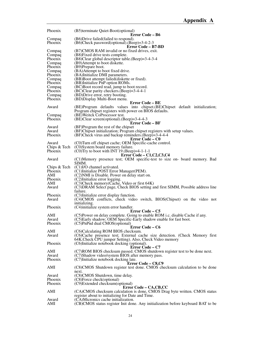| Phoenix      | (B5)terminate Quiet-Boot(optional)                                                 |
|--------------|------------------------------------------------------------------------------------|
|              | Error Code – B6                                                                    |
| Compaq       | (B6)Drive failed (failed to respond).                                              |
| Phoenix      | $(B6)$ Check password(optional).(Beep)=3-4-2-3<br>Error Code – B7-BD               |
| Compaq       | (B7)CMOS RAM invalid or no fixed drives, exit.                                     |
| Compaq       | (B8) Fixed drive tests complete.                                                   |
| Phoenix      | (B8)Clear global descriptor table.(Beep)=3-4-3-4                                   |
| Compaq       | (B9) Attempt to boot diskette.                                                     |
| Phoenix      | (B9)Prepare boot.                                                                  |
| Compaq       | (BA)Attempt to boot fixed drive.                                                   |
| Phoenix      | (BA)Initialize DMI parameters.                                                     |
| Compaq       | (BB)Boot attempt failed (diskette or fixed).                                       |
| Phoenix      | (BB)Initialize PnP option ROMs.                                                    |
| Compaq       | (BC)Boot record read, jump to boot record.                                         |
| Phoenix      | $(BC)$ Clear parity checkers. $(Beep) = 3-4-4-1$                                   |
| Compaq       | (BD) Drive error, retry booting.                                                   |
| Phoenix      | (BD) Display Multi-Boot menu.<br><b>Error Code – BE</b>                            |
| Award        | (BE)Program defaults values into chipset. (BE)Chipset default initialization;      |
|              | Program chipset registers with power on BIOS defaults.                             |
| Compaq       | (BE) Weitck CoProcessor test.                                                      |
| Phoenix      | $(BE)$ Clear screen(optional).(Beep)=3-4-4-3                                       |
|              | Error Code – BF                                                                    |
| Award        | (BF)Program the rest of the chipset                                                |
| Award        | (BF)Chipset initialization; Program chipset registers with setup values.           |
| Phoenix      | (BF)Check virus and backup reminders. (Beep)=3-4-4-4                               |
|              | Error Code – C0                                                                    |
| Award        | (C0) Turn off chipset cache; OEM Specific-cache control.                           |
| Chips & Tech | (C0)System board memory failure.                                                   |
| Phoenix      | $(C0)$ Try to boot with INT 19.(Beep)=4-1-1-1                                      |
| Award        | $Error Code - C1, C2, C3, C4$                                                      |
|              | (C1)Memory presence test; OEM specific-test to size on- board memory. Bad<br>SIMM. |
| Chips & Tech | (C1)I/O channel activated.                                                         |
| Phoenix      | (C1)Initialize POST Error Manager(PEM).                                            |
| AMI          | (C2) NMI is Disable. Power on delay start on.                                      |
| Phoenix      | (C2)Initialize error logging.                                                      |
| AMI          | (C3) Check memory (Cache, Video or first 64K)                                      |
| Award        | (C3) DRAM Select page, Check BIOS setting and first SIMM, Possible address line    |
|              | failure.                                                                           |
| Phoenix      | (C3)Initialize error display function.                                             |
| Award        | (C4)CMOS conflicts, check video switch, BIOS(Chipset) on the video not             |
|              | initializing.                                                                      |
| Phoenix      | (C4)initialize system error handler.<br>Error Code – C5                            |
| AMI          | (C5)Power on delay complete. Going to enable ROM i.c. disable Cache if any.        |
| Award        | (C5)Early shadow; OEM Specific-Early shadow enable for fast boot.                  |
| Phoenix      | (C5)PnPnd dual CMOS(optional)                                                      |
|              | Error Code – C6                                                                    |
| AMI          | (C6)Calculating ROM BIOS checksum.                                                 |
| Award        | (C6)Cache presence test; External cache size detection. (Check Memory first)       |
|              | 64K. Check CPU jumper Setting). Also, Check Video memory                           |
| Phoenix      | (C6)Initialize notebook docking (optional).                                        |
|              | Error Code – C7                                                                    |
| AMI          | (C7)ROM BIOS checksum passed. CMOS shutdown register test to be done next.         |
| Award        | (C7)Shadow video/system BIOS after memory pass.                                    |
| Phoenix      | (C7)Initialize notebook docking late.<br>Error Code – C8,C9                        |
| AMI          | (C8)CMOS Shutdown register test done. CMOS checksum calculation to be done         |
|              | next.                                                                              |
| Award        | (C8)CMOS Shutdown, time delay.                                                     |
| Phoenix      | (C8)Force check(optional)                                                          |
| Phoenix      | (C9)Extended checksum(optional)                                                    |
|              | Error Code – CA, CB, CC                                                            |
| AMI          | (CA)CMOS checksum calculation is done, CMOS Drag byte written. CMOS status         |
|              | register about to initializing for Date and Time.                                  |
| Award        | (CA)Micronics cache initialization.                                                |
| AMI          | (CB)CMOS status register Init done. Any initialization before keyboard BAT to be   |